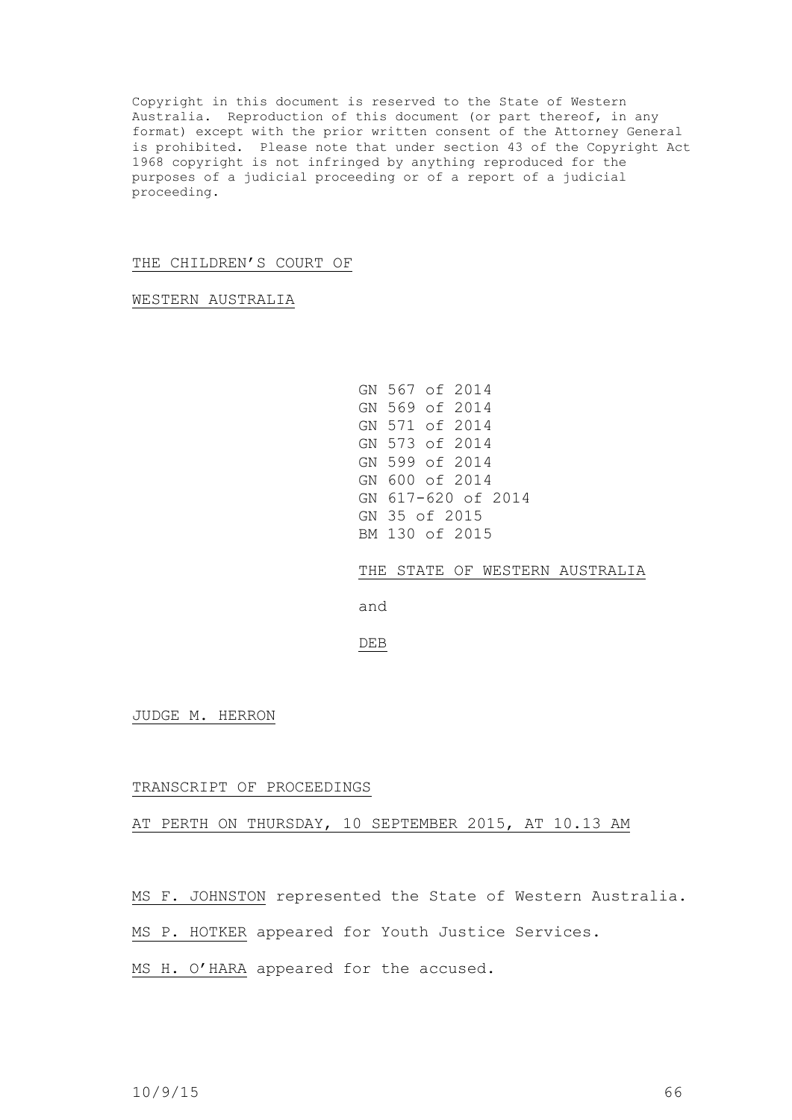Copyright in this document is reserved to the State of Western Australia. Reproduction of this document (or part thereof, in any format) except with the prior written consent of the Attorney General is prohibited. Please note that under section 43 of the Copyright Act 1968 copyright is not infringed by anything reproduced for the purposes of a judicial proceeding or of a report of a judicial proceeding.

### THE CHILDREN'S COURT OF

WESTERN AUSTRALIA

GN 567 of 2014 GN 569 of 2014 GN 571 of 2014 GN 573 of 2014 GN 599 of 2014 GN 600 of 2014 GN 617-620 of 2014 GN 35 of 2015 BM 130 of 2015 THE STATE OF WESTERN AUSTRALIA

and

DEB

JUDGE M. HERRON

#### TRANSCRIPT OF PROCEEDINGS

## AT PERTH ON THURSDAY, 10 SEPTEMBER 2015, AT 10.13 AM

MS F. JOHNSTON represented the State of Western Australia.

MS P. HOTKER appeared for Youth Justice Services.

MS H. O'HARA appeared for the accused.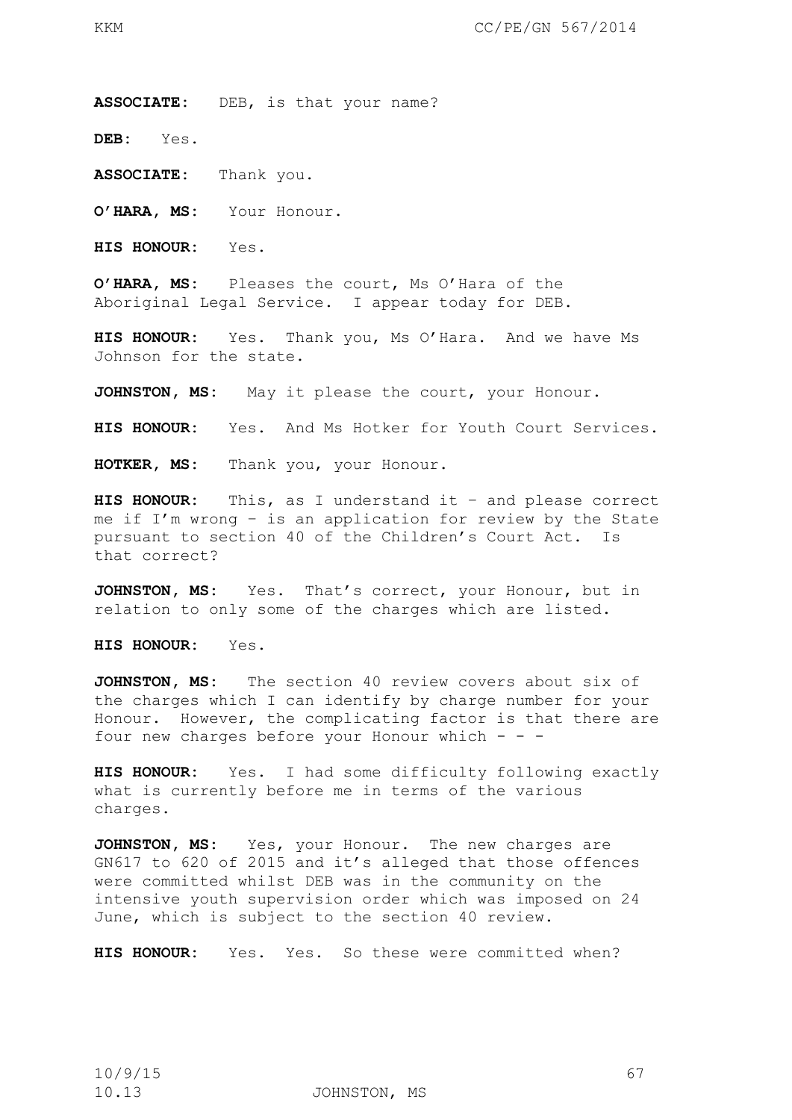**ASSOCIATE:** DEB, is that your name?

**DEB:** Yes.

**ASSOCIATE:** Thank you.

**O'HARA, MS:** Your Honour.

**HIS HONOUR:** Yes.

**O'HARA, MS:** Pleases the court, Ms O'Hara of the Aboriginal Legal Service. I appear today for DEB.

**HIS HONOUR:** Yes. Thank you, Ms O'Hara. And we have Ms Johnson for the state.

JOHNSTON, MS: May it please the court, your Honour.

**HIS HONOUR:** Yes. And Ms Hotker for Youth Court Services.

**HOTKER, MS:** Thank you, your Honour.

**HIS HONOUR:** This, as I understand it – and please correct me if I'm wrong – is an application for review by the State pursuant to section 40 of the Children's Court Act. Is that correct?

**JOHNSTON, MS:** Yes. That's correct, your Honour, but in relation to only some of the charges which are listed.

**HIS HONOUR:** Yes.

**JOHNSTON, MS:** The section 40 review covers about six of the charges which I can identify by charge number for your Honour. However, the complicating factor is that there are four new charges before your Honour which  $- -$ 

**HIS HONOUR:** Yes. I had some difficulty following exactly what is currently before me in terms of the various charges.

**JOHNSTON, MS:** Yes, your Honour. The new charges are GN617 to 620 of 2015 and it's alleged that those offences were committed whilst DEB was in the community on the intensive youth supervision order which was imposed on 24 June, which is subject to the section 40 review.

**HIS HONOUR:** Yes. Yes. So these were committed when?

10.13 JOHNSTON, MS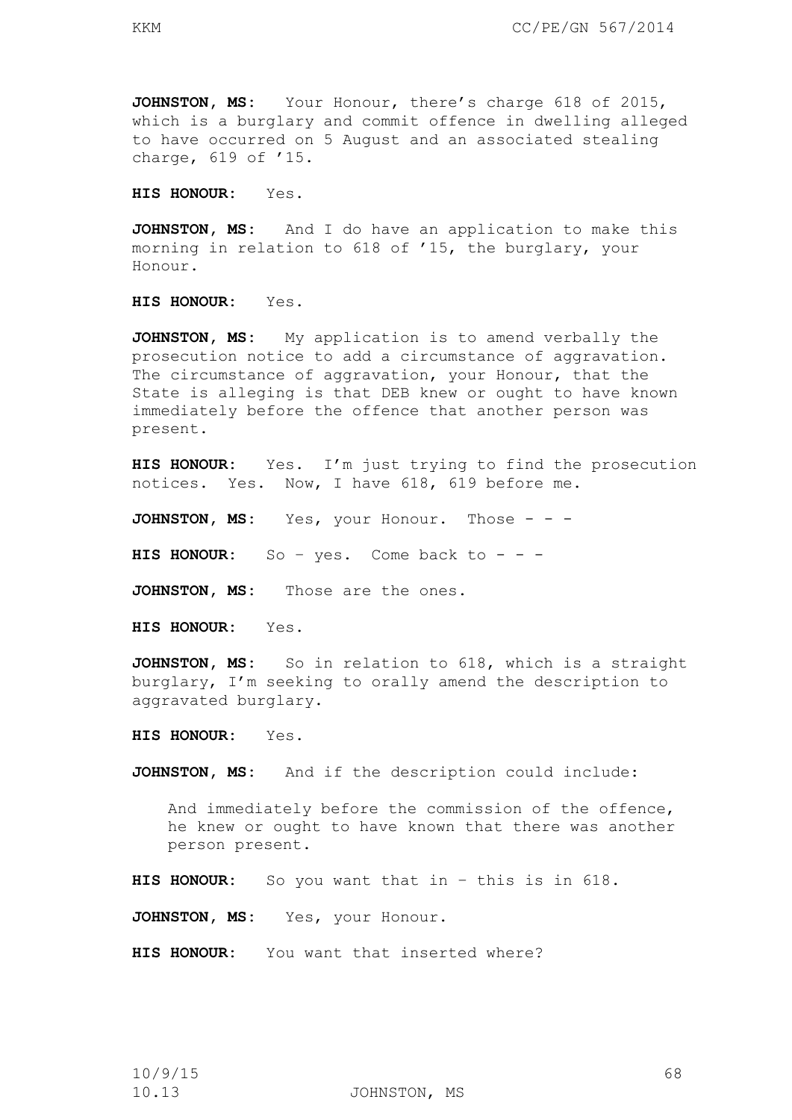**HIS HONOUR:** Yes.

charge, 619 of '15.

**JOHNSTON, MS:** And I do have an application to make this morning in relation to 618 of '15, the burglary, your Honour.

**HIS HONOUR:** Yes.

**JOHNSTON, MS:** My application is to amend verbally the prosecution notice to add a circumstance of aggravation. The circumstance of aggravation, your Honour, that the State is alleging is that DEB knew or ought to have known immediately before the offence that another person was present.

**HIS HONOUR:** Yes. I'm just trying to find the prosecution notices. Yes. Now, I have 618, 619 before me.

JOHNSTON, MS: Yes, your Honour. Those - - -

**HIS HONOUR:** So – yes. Come back to - - -

**JOHNSTON, MS:** Those are the ones.

**HIS HONOUR:** Yes.

**JOHNSTON, MS:** So in relation to 618, which is a straight burglary, I'm seeking to orally amend the description to aggravated burglary.

**HIS HONOUR:** Yes.

**JOHNSTON, MS:** And if the description could include:

And immediately before the commission of the offence, he knew or ought to have known that there was another person present.

**HIS HONOUR:** So you want that in – this is in 618.

JOHNSTON, MS: Yes, your Honour.

**HIS HONOUR:** You want that inserted where?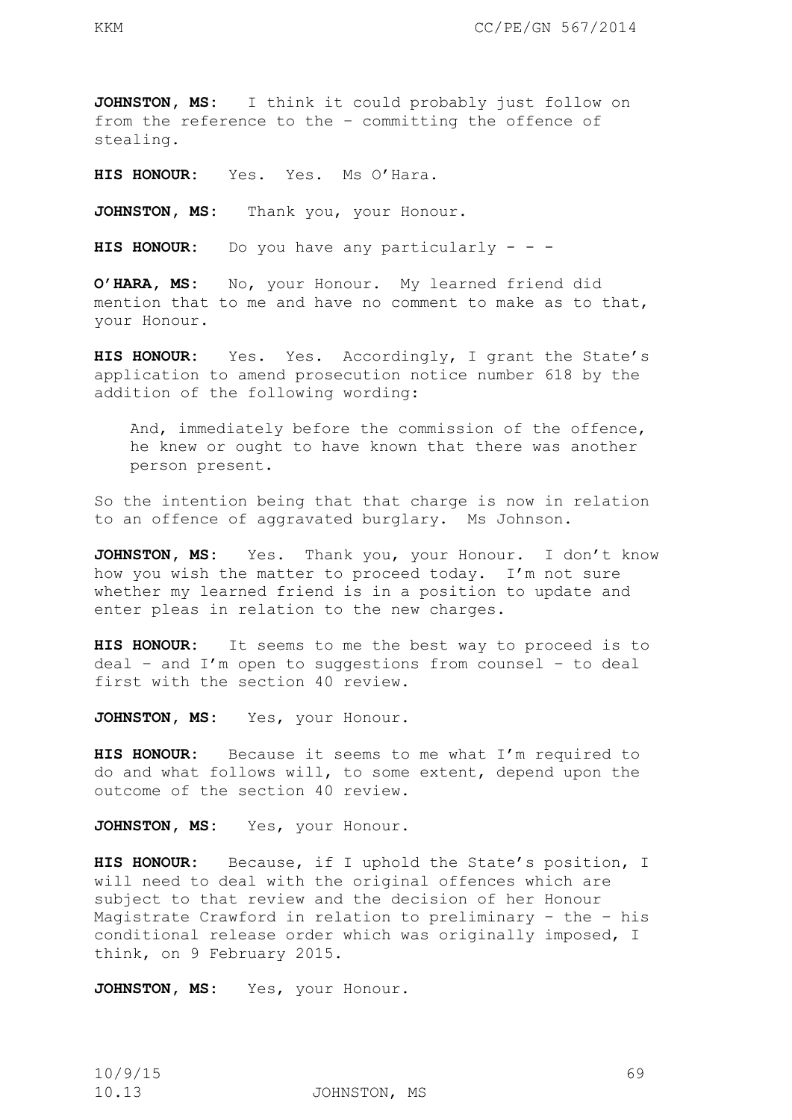**JOHNSTON, MS:** I think it could probably just follow on from the reference to the – committing the offence of stealing.

**HIS HONOUR:** Yes. Yes. Ms O'Hara.

JOHNSTON, MS: Thank you, your Honour.

**HIS HONOUR:** Do you have any particularly - - -

**O'HARA, MS:** No, your Honour. My learned friend did mention that to me and have no comment to make as to that, your Honour.

**HIS HONOUR:** Yes. Yes. Accordingly, I grant the State's application to amend prosecution notice number 618 by the addition of the following wording:

And, immediately before the commission of the offence, he knew or ought to have known that there was another person present.

So the intention being that that charge is now in relation to an offence of aggravated burglary. Ms Johnson.

**JOHNSTON, MS:** Yes. Thank you, your Honour. I don't know how you wish the matter to proceed today. I'm not sure whether my learned friend is in a position to update and enter pleas in relation to the new charges.

**HIS HONOUR:** It seems to me the best way to proceed is to deal – and I'm open to suggestions from counsel – to deal first with the section 40 review.

JOHNSTON, MS: Yes, your Honour.

**HIS HONOUR:** Because it seems to me what I'm required to do and what follows will, to some extent, depend upon the outcome of the section 40 review.

JOHNSTON, MS: Yes, your Honour.

**HIS HONOUR:** Because, if I uphold the State's position, I will need to deal with the original offences which are subject to that review and the decision of her Honour Magistrate Crawford in relation to preliminary – the – his conditional release order which was originally imposed, I think, on 9 February 2015.

JOHNSTON, MS: Yes, your Honour.

10.13 JOHNSTON, MS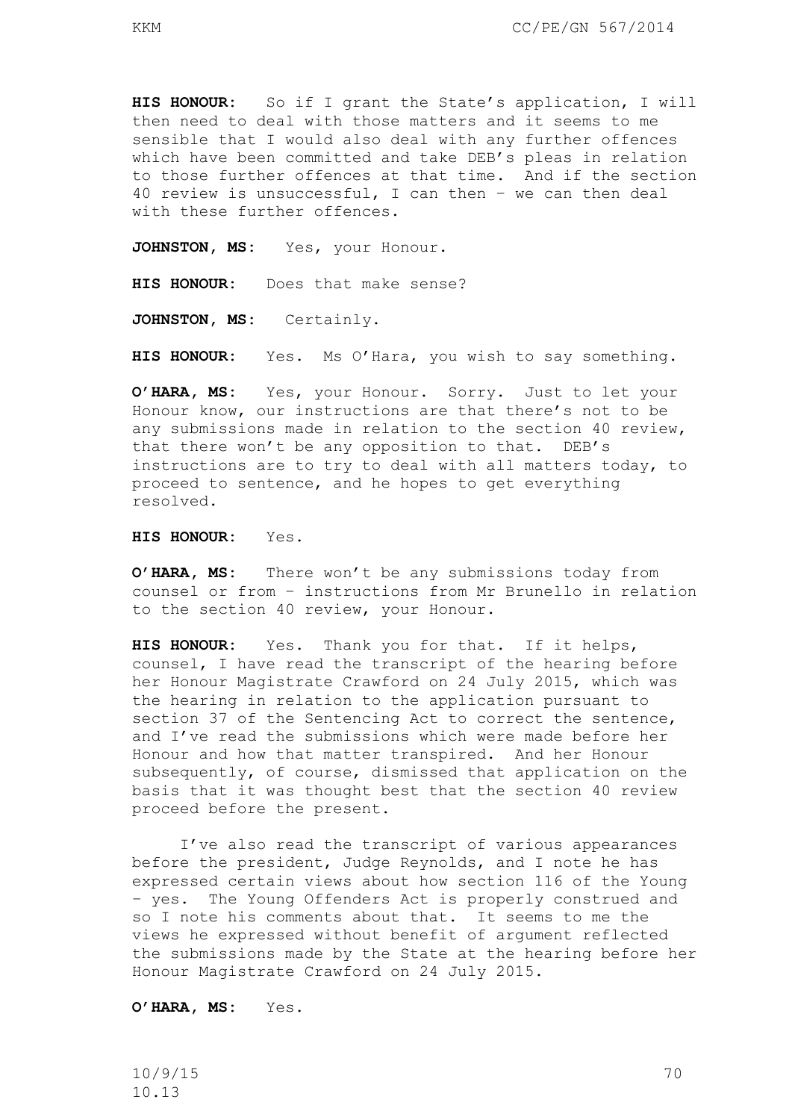**HIS HONOUR:** So if I grant the State's application, I will then need to deal with those matters and it seems to me sensible that I would also deal with any further offences which have been committed and take DEB's pleas in relation to those further offences at that time. And if the section 40 review is unsuccessful, I can then – we can then deal with these further offences.

JOHNSTON, MS: Yes, your Honour.

**HIS HONOUR:** Does that make sense?

**JOHNSTON, MS:** Certainly.

**HIS HONOUR:** Yes. Ms O'Hara, you wish to say something.

**O'HARA, MS:** Yes, your Honour. Sorry. Just to let your Honour know, our instructions are that there's not to be any submissions made in relation to the section 40 review, that there won't be any opposition to that. DEB's instructions are to try to deal with all matters today, to proceed to sentence, and he hopes to get everything resolved.

**HIS HONOUR:** Yes.

**O'HARA, MS:** There won't be any submissions today from counsel or from – instructions from Mr Brunello in relation to the section 40 review, your Honour.

**HIS HONOUR:** Yes. Thank you for that. If it helps, counsel, I have read the transcript of the hearing before her Honour Magistrate Crawford on 24 July 2015, which was the hearing in relation to the application pursuant to section 37 of the Sentencing Act to correct the sentence, and I've read the submissions which were made before her Honour and how that matter transpired. And her Honour subsequently, of course, dismissed that application on the basis that it was thought best that the section 40 review proceed before the present.

I've also read the transcript of various appearances before the president, Judge Reynolds, and I note he has expressed certain views about how section 116 of the Young – yes. The Young Offenders Act is properly construed and so I note his comments about that. It seems to me the views he expressed without benefit of argument reflected the submissions made by the State at the hearing before her Honour Magistrate Crawford on 24 July 2015.

**O'HARA, MS:** Yes.

10/9/15 70 10.13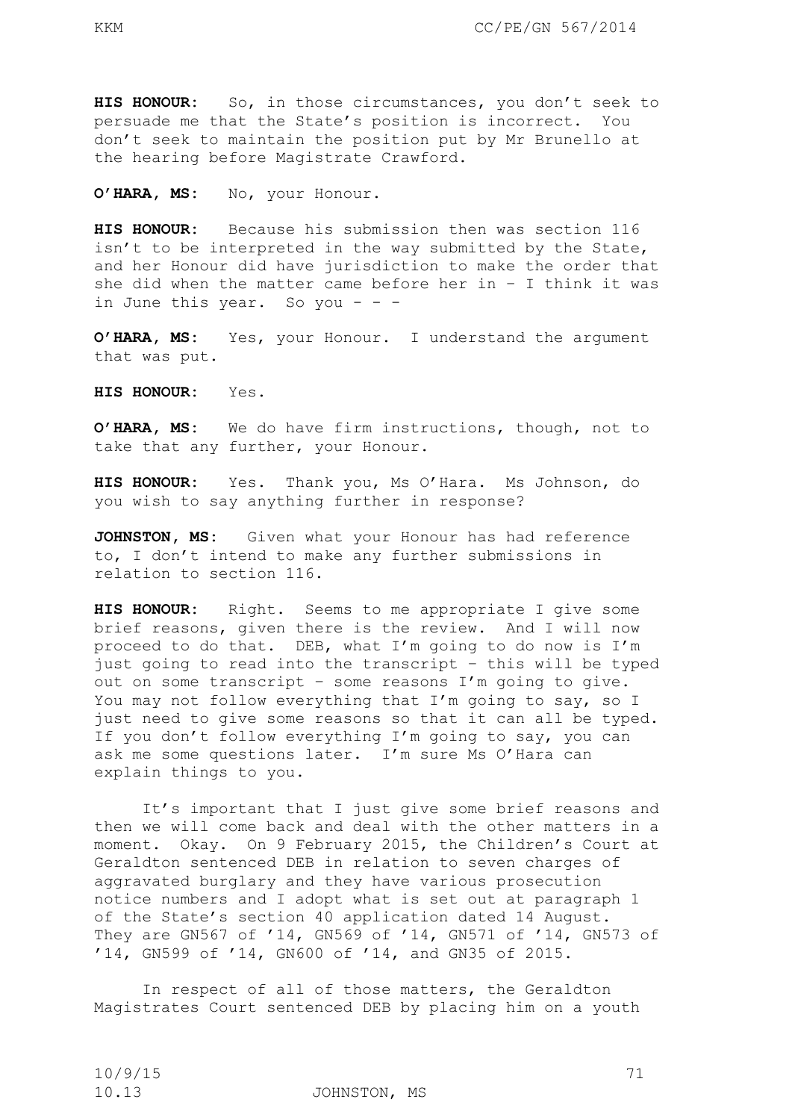**HIS HONOUR:** So, in those circumstances, you don't seek to persuade me that the State's position is incorrect. You don't seek to maintain the position put by Mr Brunello at the hearing before Magistrate Crawford.

**O'HARA, MS:** No, your Honour.

**HIS HONOUR:** Because his submission then was section 116 isn't to be interpreted in the way submitted by the State, and her Honour did have jurisdiction to make the order that she did when the matter came before her in – I think it was in June this year. So you  $- -$ 

**O'HARA, MS:** Yes, your Honour. I understand the argument that was put.

**HIS HONOUR:** Yes.

**O'HARA, MS:** We do have firm instructions, though, not to take that any further, your Honour.

**HIS HONOUR:** Yes. Thank you, Ms O'Hara. Ms Johnson, do you wish to say anything further in response?

**JOHNSTON, MS:** Given what your Honour has had reference to, I don't intend to make any further submissions in relation to section 116.

**HIS HONOUR:** Right. Seems to me appropriate I give some brief reasons, given there is the review. And I will now proceed to do that. DEB, what I'm going to do now is I'm just going to read into the transcript – this will be typed out on some transcript – some reasons I'm going to give. You may not follow everything that I'm going to say, so I just need to give some reasons so that it can all be typed. If you don't follow everything I'm going to say, you can ask me some questions later. I'm sure Ms O'Hara can explain things to you.

It's important that I just give some brief reasons and then we will come back and deal with the other matters in a moment. Okay. On 9 February 2015, the Children's Court at Geraldton sentenced DEB in relation to seven charges of aggravated burglary and they have various prosecution notice numbers and I adopt what is set out at paragraph 1 of the State's section 40 application dated 14 August. They are GN567 of '14, GN569 of '14, GN571 of '14, GN573 of '14, GN599 of '14, GN600 of '14, and GN35 of 2015.

In respect of all of those matters, the Geraldton Magistrates Court sentenced DEB by placing him on a youth

10.13 JOHNSTON, MS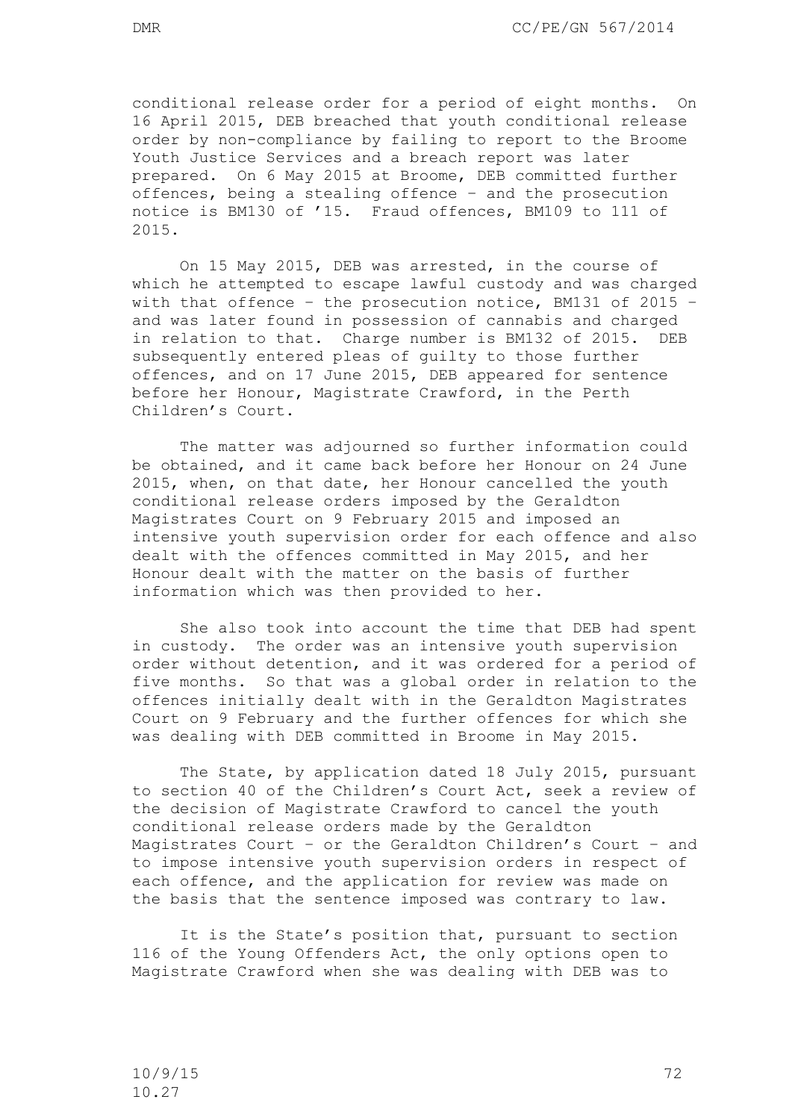conditional release order for a period of eight months. On 16 April 2015, DEB breached that youth conditional release order by non-compliance by failing to report to the Broome Youth Justice Services and a breach report was later prepared. On 6 May 2015 at Broome, DEB committed further offences, being a stealing offence – and the prosecution notice is BM130 of '15. Fraud offences, BM109 to 111 of 2015.

On 15 May 2015, DEB was arrested, in the course of which he attempted to escape lawful custody and was charged with that offence – the prosecution notice, BM131 of 2015 – and was later found in possession of cannabis and charged in relation to that. Charge number is BM132 of 2015. DEB subsequently entered pleas of guilty to those further offences, and on 17 June 2015, DEB appeared for sentence before her Honour, Magistrate Crawford, in the Perth Children's Court.

The matter was adjourned so further information could be obtained, and it came back before her Honour on 24 June 2015, when, on that date, her Honour cancelled the youth conditional release orders imposed by the Geraldton Magistrates Court on 9 February 2015 and imposed an intensive youth supervision order for each offence and also dealt with the offences committed in May 2015, and her Honour dealt with the matter on the basis of further information which was then provided to her.

She also took into account the time that DEB had spent in custody. The order was an intensive youth supervision order without detention, and it was ordered for a period of five months. So that was a global order in relation to the offences initially dealt with in the Geraldton Magistrates Court on 9 February and the further offences for which she was dealing with DEB committed in Broome in May 2015.

The State, by application dated 18 July 2015, pursuant to section 40 of the Children's Court Act, seek a review of the decision of Magistrate Crawford to cancel the youth conditional release orders made by the Geraldton Magistrates Court – or the Geraldton Children's Court – and to impose intensive youth supervision orders in respect of each offence, and the application for review was made on the basis that the sentence imposed was contrary to law.

It is the State's position that, pursuant to section 116 of the Young Offenders Act, the only options open to Magistrate Crawford when she was dealing with DEB was to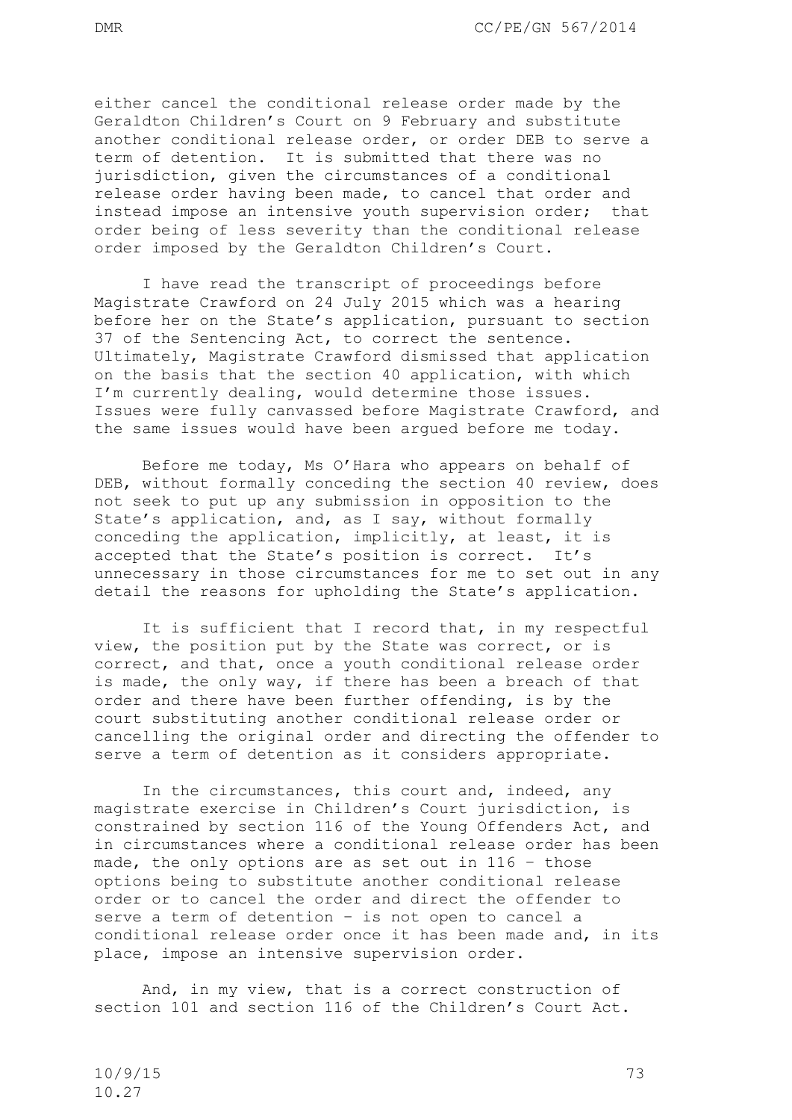either cancel the conditional release order made by the Geraldton Children's Court on 9 February and substitute another conditional release order, or order DEB to serve a term of detention. It is submitted that there was no jurisdiction, given the circumstances of a conditional release order having been made, to cancel that order and instead impose an intensive youth supervision order; that order being of less severity than the conditional release order imposed by the Geraldton Children's Court.

I have read the transcript of proceedings before Magistrate Crawford on 24 July 2015 which was a hearing before her on the State's application, pursuant to section 37 of the Sentencing Act, to correct the sentence. Ultimately, Magistrate Crawford dismissed that application on the basis that the section 40 application, with which I'm currently dealing, would determine those issues. Issues were fully canvassed before Magistrate Crawford, and the same issues would have been argued before me today.

Before me today, Ms O'Hara who appears on behalf of DEB, without formally conceding the section 40 review, does not seek to put up any submission in opposition to the State's application, and, as I say, without formally conceding the application, implicitly, at least, it is accepted that the State's position is correct. It's unnecessary in those circumstances for me to set out in any detail the reasons for upholding the State's application.

It is sufficient that I record that, in my respectful view, the position put by the State was correct, or is correct, and that, once a youth conditional release order is made, the only way, if there has been a breach of that order and there have been further offending, is by the court substituting another conditional release order or cancelling the original order and directing the offender to serve a term of detention as it considers appropriate.

In the circumstances, this court and, indeed, any magistrate exercise in Children's Court jurisdiction, is constrained by section 116 of the Young Offenders Act, and in circumstances where a conditional release order has been made, the only options are as set out in 116 – those options being to substitute another conditional release order or to cancel the order and direct the offender to serve a term of detention – is not open to cancel a conditional release order once it has been made and, in its place, impose an intensive supervision order.

And, in my view, that is a correct construction of section 101 and section 116 of the Children's Court Act.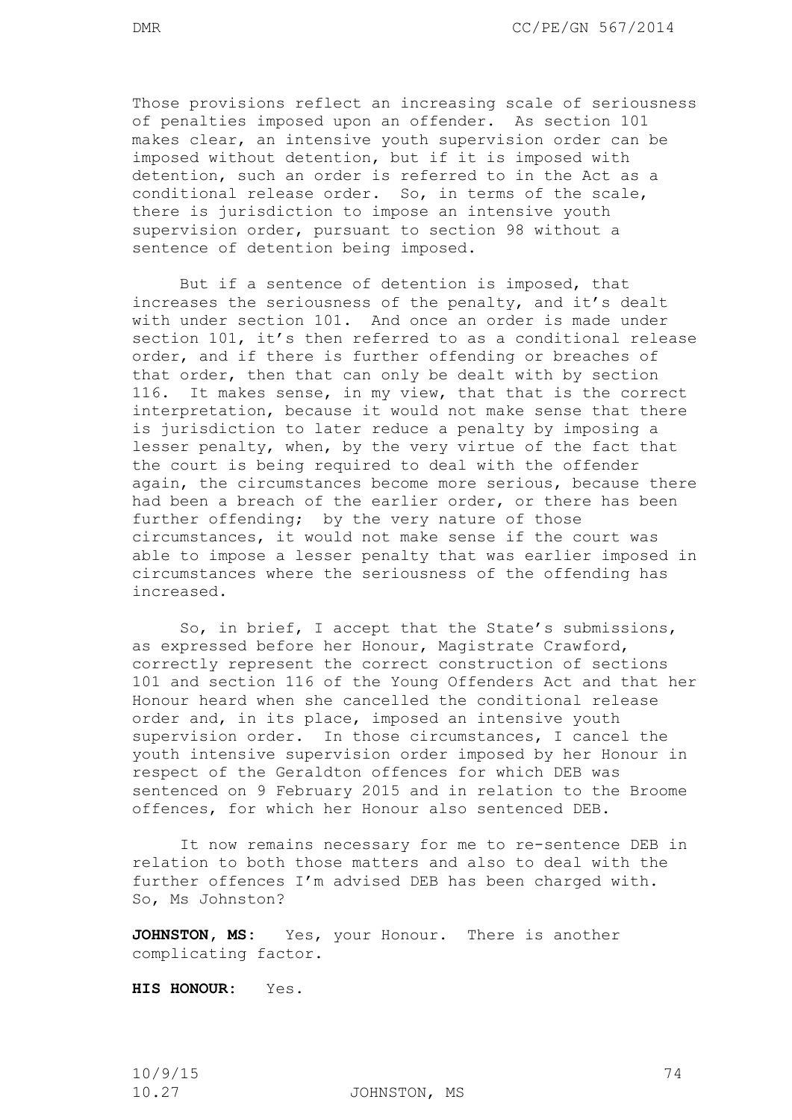Those provisions reflect an increasing scale of seriousness of penalties imposed upon an offender. As section 101 makes clear, an intensive youth supervision order can be imposed without detention, but if it is imposed with detention, such an order is referred to in the Act as a conditional release order. So, in terms of the scale, there is jurisdiction to impose an intensive youth supervision order, pursuant to section 98 without a sentence of detention being imposed.

But if a sentence of detention is imposed, that increases the seriousness of the penalty, and it's dealt with under section 101. And once an order is made under section 101, it's then referred to as a conditional release order, and if there is further offending or breaches of that order, then that can only be dealt with by section 116. It makes sense, in my view, that that is the correct interpretation, because it would not make sense that there is jurisdiction to later reduce a penalty by imposing a lesser penalty, when, by the very virtue of the fact that the court is being required to deal with the offender again, the circumstances become more serious, because there had been a breach of the earlier order, or there has been further offending; by the very nature of those circumstances, it would not make sense if the court was able to impose a lesser penalty that was earlier imposed in circumstances where the seriousness of the offending has increased.

So, in brief, I accept that the State's submissions, as expressed before her Honour, Magistrate Crawford, correctly represent the correct construction of sections 101 and section 116 of the Young Offenders Act and that her Honour heard when she cancelled the conditional release order and, in its place, imposed an intensive youth supervision order. In those circumstances, I cancel the youth intensive supervision order imposed by her Honour in respect of the Geraldton offences for which DEB was sentenced on 9 February 2015 and in relation to the Broome offences, for which her Honour also sentenced DEB.

It now remains necessary for me to re-sentence DEB in relation to both those matters and also to deal with the further offences I'm advised DEB has been charged with. So, Ms Johnston?

**JOHNSTON, MS:** Yes, your Honour. There is another complicating factor.

**HIS HONOUR:** Yes.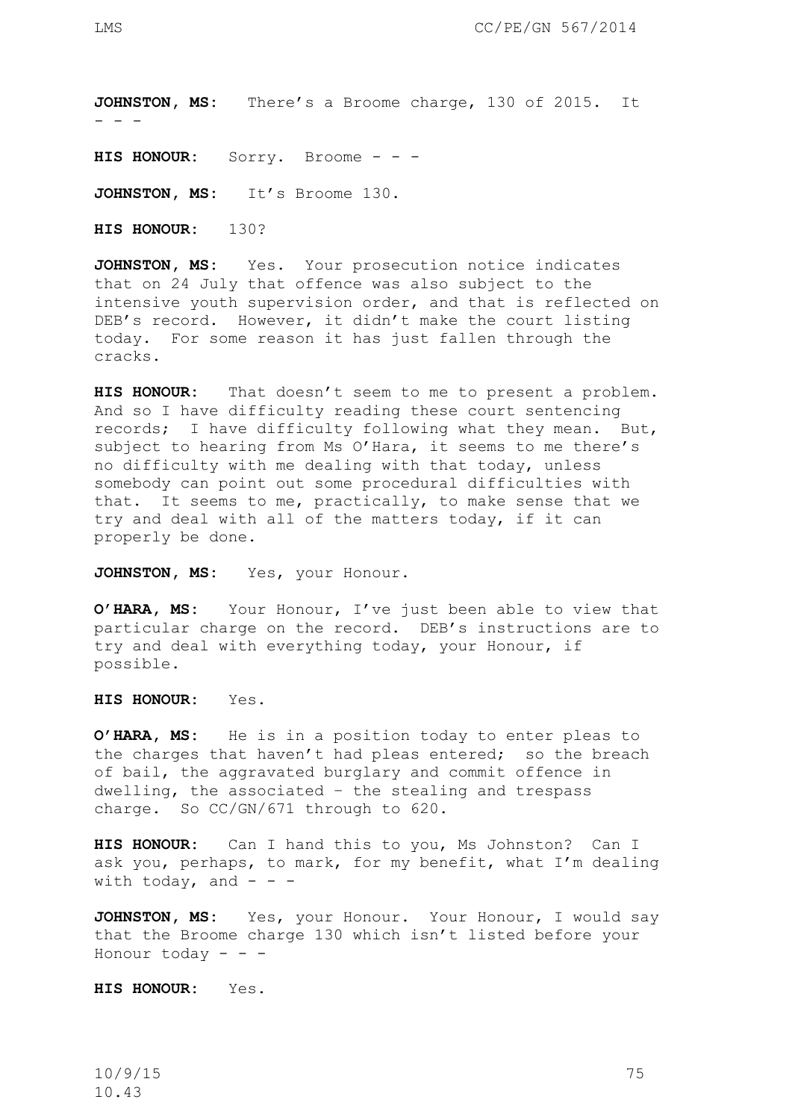**JOHNSTON, MS:** There's a Broome charge, 130 of 2015. It - - -

**HIS HONOUR:** Sorry. Broome - - -

JOHNSTON, MS: It's Broome 130.

**HIS HONOUR:** 130?

JOHNSTON, MS: Yes. Your prosecution notice indicates that on 24 July that offence was also subject to the intensive youth supervision order, and that is reflected on DEB's record. However, it didn't make the court listing today. For some reason it has just fallen through the cracks.

**HIS HONOUR:** That doesn't seem to me to present a problem. And so I have difficulty reading these court sentencing records; I have difficulty following what they mean. But, subject to hearing from Ms O'Hara, it seems to me there's no difficulty with me dealing with that today, unless somebody can point out some procedural difficulties with that. It seems to me, practically, to make sense that we try and deal with all of the matters today, if it can properly be done.

JOHNSTON, MS: Yes, your Honour.

**O'HARA, MS:** Your Honour, I've just been able to view that particular charge on the record. DEB's instructions are to try and deal with everything today, your Honour, if possible.

**HIS HONOUR:** Yes.

**O'HARA, MS:** He is in a position today to enter pleas to the charges that haven't had pleas entered; so the breach of bail, the aggravated burglary and commit offence in dwelling, the associated – the stealing and trespass charge. So CC/GN/671 through to 620.

**HIS HONOUR:** Can I hand this to you, Ms Johnston? Can I ask you, perhaps, to mark, for my benefit, what I'm dealing with today, and  $-$ 

JOHNSTON, MS: Yes, your Honour. Your Honour, I would say that the Broome charge 130 which isn't listed before your Honour today  $-$ 

**HIS HONOUR:** Yes.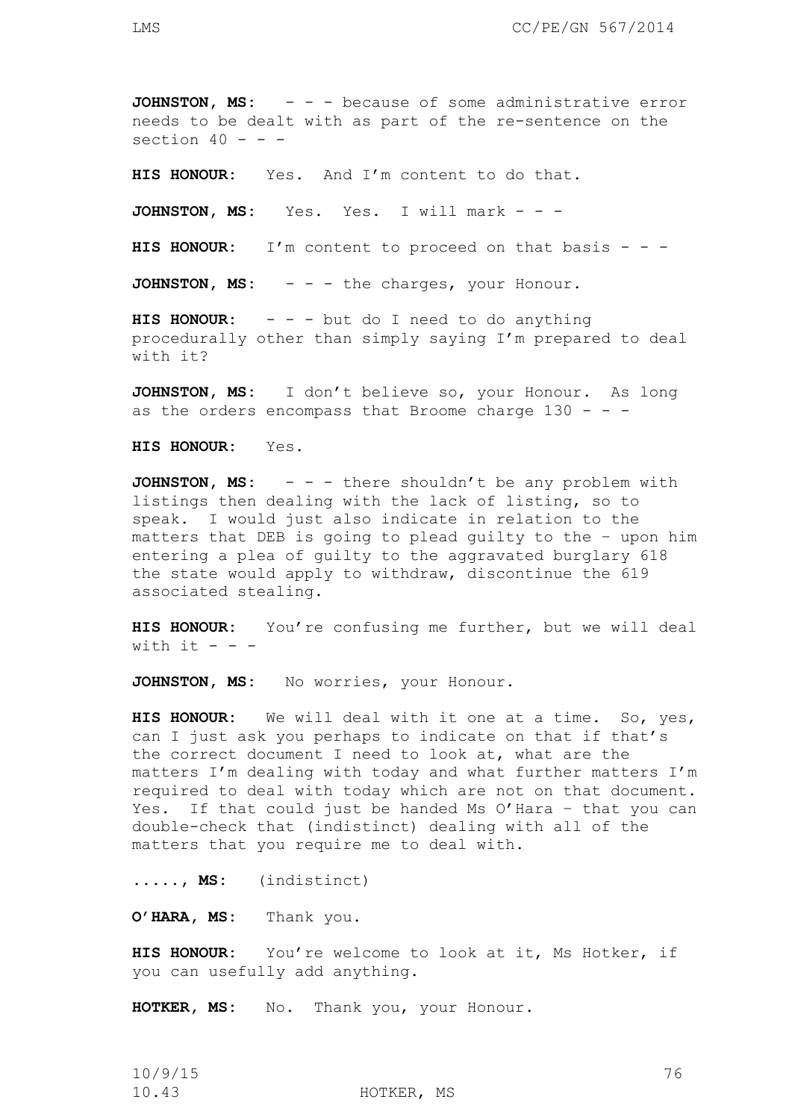**HIS HONOUR:** Yes. And I'm content to do that.

**JOHNSTON, MS:** Yes. Yes. I will mark - - -

**HIS HONOUR:** I'm content to proceed on that basis - - -

JOHNSTON, MS: - - - the charges, your Honour.

**HIS HONOUR:** - - - but do I need to do anything procedurally other than simply saying I'm prepared to deal with it?

**JOHNSTON, MS:** I don't believe so, your Honour. As long as the orders encompass that Broome charge  $130 - -$ 

**HIS HONOUR:** Yes.

**JOHNSTON, MS:** - - - there shouldn't be any problem with listings then dealing with the lack of listing, so to speak. I would just also indicate in relation to the matters that DEB is going to plead guilty to the – upon him entering a plea of guilty to the aggravated burglary 618 the state would apply to withdraw, discontinue the 619 associated stealing.

**HIS HONOUR:** You're confusing me further, but we will deal with it  $-$ 

JOHNSTON, MS: No worries, your Honour.

**HIS HONOUR:** We will deal with it one at a time. So, yes, can I just ask you perhaps to indicate on that if that's the correct document I need to look at, what are the matters I'm dealing with today and what further matters I'm required to deal with today which are not on that document. Yes. If that could just be handed Ms O'Hara – that you can double-check that (indistinct) dealing with all of the matters that you require me to deal with.

**....., MS:** (indistinct)

**O'HARA, MS:** Thank you.

**HIS HONOUR:** You're welcome to look at it, Ms Hotker, if you can usefully add anything.

**HOTKER, MS:** No. Thank you, your Honour.

10/9/15 76

10.43 HOTKER, MS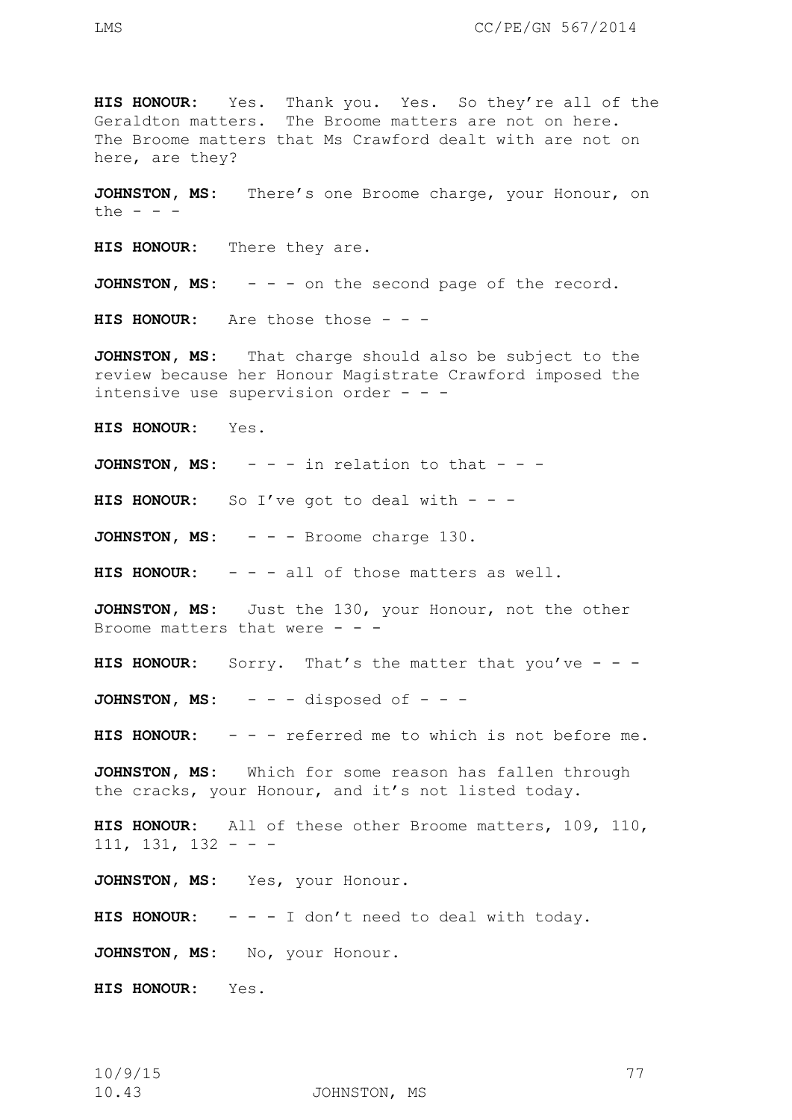**HIS HONOUR:** Yes. Thank you. Yes. So they're all of the Geraldton matters. The Broome matters are not on here. The Broome matters that Ms Crawford dealt with are not on here, are they?

**JOHNSTON, MS:** There's one Broome charge, your Honour, on the  $-$ 

**HIS HONOUR:** There they are.

JOHNSTON, MS: - - - on the second page of the record.

**HIS HONOUR:** Are those those - - -

**JOHNSTON, MS:** That charge should also be subject to the review because her Honour Magistrate Crawford imposed the intensive use supervision order - - -

**HIS HONOUR:** Yes.

**JOHNSTON, MS:** - - - in relation to that - - -

HIS HONOUR: So I've got to deal with - - -

JOHNSTON, MS: - - - Broome charge 130.

**HIS HONOUR:** - - - all of those matters as well.

JOHNSTON, MS: Just the 130, your Honour, not the other Broome matters that were  $-$  -

**HIS HONOUR:** Sorry. That's the matter that you've - - -

JOHNSTON, MS:  $-$  -  $-$  disposed of - - -

**HIS HONOUR:** - - - referred me to which is not before me.

**JOHNSTON, MS:** Which for some reason has fallen through the cracks, your Honour, and it's not listed today.

**HIS HONOUR:** All of these other Broome matters, 109, 110, 111, 131, 132 - - -

JOHNSTON, MS: Yes, your Honour.

**HIS HONOUR:** - - - I don't need to deal with today.

JOHNSTON, MS: No, your Honour.

**HIS HONOUR:** Yes.

10.43 JOHNSTON, MS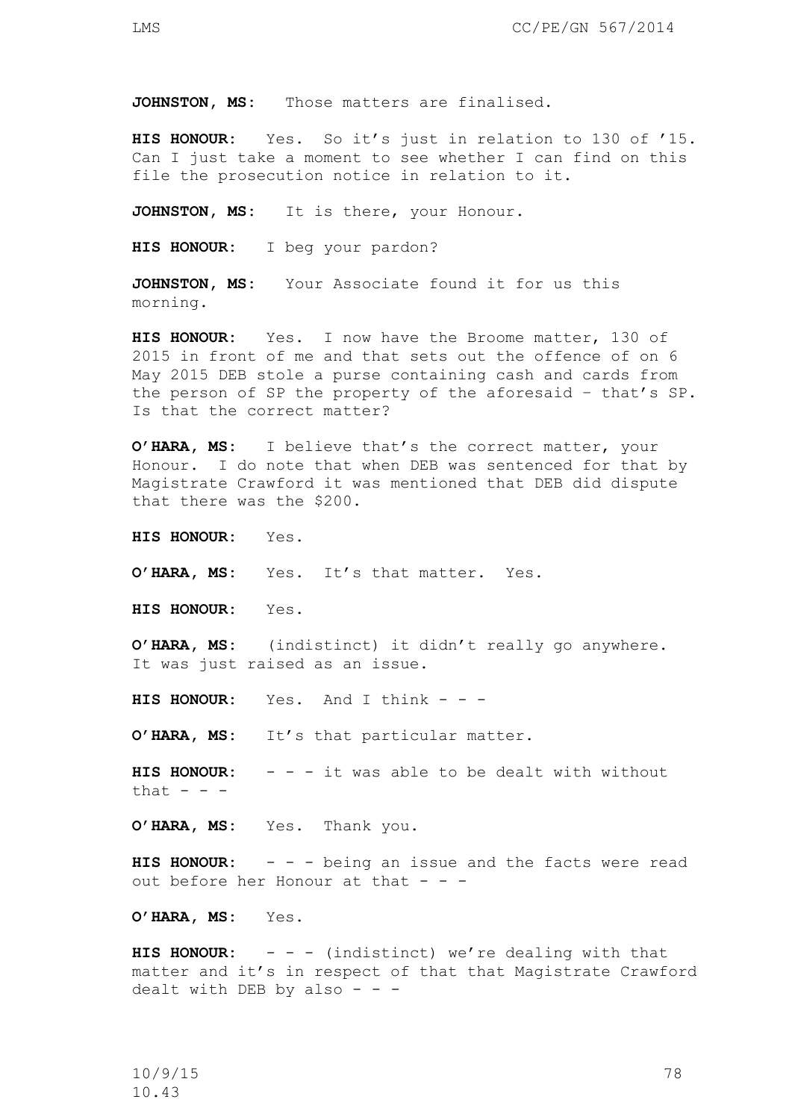**HIS HONOUR:** Yes. So it's just in relation to 130 of '15. Can I just take a moment to see whether I can find on this file the prosecution notice in relation to it.

**JOHNSTON, MS:** It is there, your Honour.

**HIS HONOUR:** I beg your pardon?

**JOHNSTON, MS:** Your Associate found it for us this morning.

**HIS HONOUR:** Yes. I now have the Broome matter, 130 of 2015 in front of me and that sets out the offence of on 6 May 2015 DEB stole a purse containing cash and cards from the person of SP the property of the aforesaid – that's SP. Is that the correct matter?

**O'HARA, MS:** I believe that's the correct matter, your Honour. I do note that when DEB was sentenced for that by Magistrate Crawford it was mentioned that DEB did dispute that there was the \$200.

**HIS HONOUR:** Yes.

**O'HARA, MS:** Yes. It's that matter. Yes.

**HIS HONOUR:** Yes.

**O'HARA, MS:** (indistinct) it didn't really go anywhere. It was just raised as an issue.

**HIS HONOUR:** Yes. And I think - - -

**O'HARA, MS:** It's that particular matter.

**HIS HONOUR:** - - - it was able to be dealt with without that  $- -$ 

**O'HARA, MS:** Yes. Thank you.

**HIS HONOUR:** - - - being an issue and the facts were read out before her Honour at that  $- -$ 

**O'HARA, MS:** Yes.

**HIS HONOUR:** - - - (indistinct) we're dealing with that matter and it's in respect of that that Magistrate Crawford dealt with DEB by also  $- -$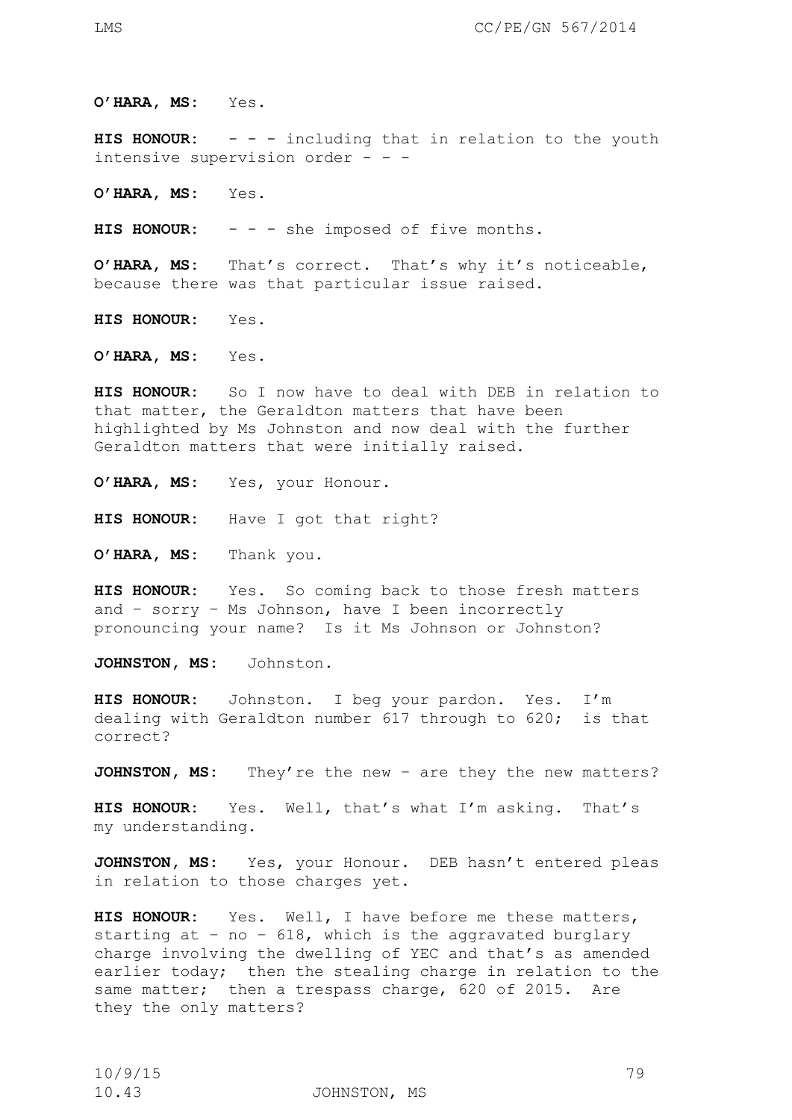**O'HARA, MS:** Yes.

**HIS HONOUR:** - - - including that in relation to the youth intensive supervision order - - -

**O'HARA, MS:** Yes.

**HIS HONOUR:** - - - she imposed of five months.

**O'HARA, MS:** That's correct. That's why it's noticeable, because there was that particular issue raised.

**HIS HONOUR:** Yes.

**O'HARA, MS:** Yes.

**HIS HONOUR:** So I now have to deal with DEB in relation to that matter, the Geraldton matters that have been highlighted by Ms Johnston and now deal with the further Geraldton matters that were initially raised.

**O'HARA, MS:** Yes, your Honour.

**HIS HONOUR:** Have I got that right?

**O'HARA, MS:** Thank you.

**HIS HONOUR:** Yes. So coming back to those fresh matters and – sorry – Ms Johnson, have I been incorrectly pronouncing your name? Is it Ms Johnson or Johnston?

**JOHNSTON, MS:** Johnston.

**HIS HONOUR:** Johnston. I beg your pardon. Yes. I'm dealing with Geraldton number 617 through to 620; is that correct?

**JOHNSTON, MS:** They're the new - are they the new matters?

**HIS HONOUR:** Yes. Well, that's what I'm asking. That's my understanding.

JOHNSTON, MS: Yes, your Honour. DEB hasn't entered pleas in relation to those charges yet.

**HIS HONOUR:** Yes. Well, I have before me these matters, starting at - no -  $618$ , which is the aggravated burglary charge involving the dwelling of YEC and that's as amended earlier today; then the stealing charge in relation to the same matter; then a trespass charge, 620 of 2015. Are they the only matters?

10.43 JOHNSTON, MS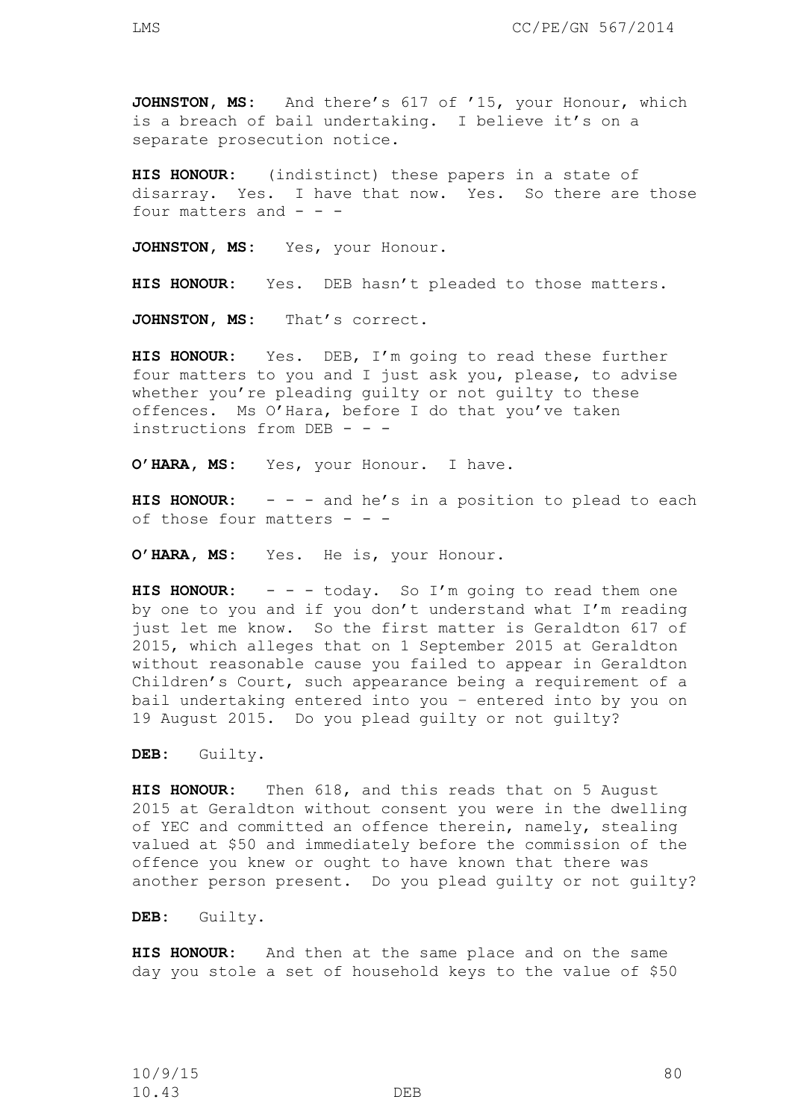**JOHNSTON, MS:** And there's 617 of '15, your Honour, which is a breach of bail undertaking. I believe it's on a separate prosecution notice.

**HIS HONOUR:** (indistinct) these papers in a state of disarray. Yes. I have that now. Yes. So there are those four matters and  $-$  -  $-$ 

JOHNSTON, MS: Yes, your Honour.

**HIS HONOUR:** Yes. DEB hasn't pleaded to those matters.

**JOHNSTON, MS:** That's correct.

**HIS HONOUR:** Yes. DEB, I'm going to read these further four matters to you and I just ask you, please, to advise whether you're pleading quilty or not quilty to these offences. Ms O'Hara, before I do that you've taken instructions from DEB - - -

**O'HARA, MS:** Yes, your Honour. I have.

**HIS HONOUR:** - - - and he's in a position to plead to each of those four matters  $- -$ 

**O'HARA, MS:** Yes. He is, your Honour.

HIS HONOUR: - - - today. So I'm going to read them one by one to you and if you don't understand what I'm reading just let me know. So the first matter is Geraldton 617 of 2015, which alleges that on 1 September 2015 at Geraldton without reasonable cause you failed to appear in Geraldton Children's Court, such appearance being a requirement of a bail undertaking entered into you – entered into by you on 19 August 2015. Do you plead guilty or not guilty?

**DEB:** Guilty.

**HIS HONOUR:** Then 618, and this reads that on 5 August 2015 at Geraldton without consent you were in the dwelling of YEC and committed an offence therein, namely, stealing valued at \$50 and immediately before the commission of the offence you knew or ought to have known that there was another person present. Do you plead guilty or not guilty?

**DEB:** Guilty.

**HIS HONOUR:** And then at the same place and on the same day you stole a set of household keys to the value of \$50

10/9/15 80 10.43 DEB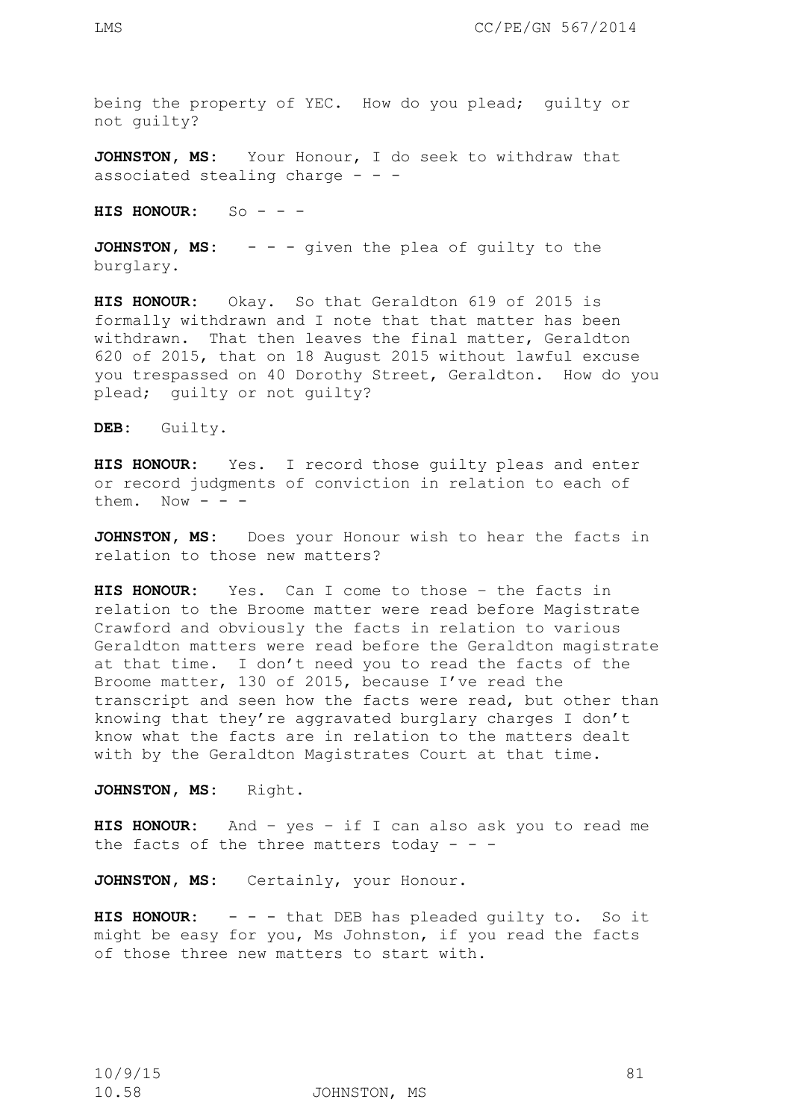being the property of YEC. How do you plead; guilty or not guilty?

JOHNSTON, MS: Your Honour, I do seek to withdraw that associated stealing charge - - -

**HIS HONOUR:** So - - -

**JOHNSTON, MS:** - - - given the plea of quilty to the burglary.

**HIS HONOUR:** Okay. So that Geraldton 619 of 2015 is formally withdrawn and I note that that matter has been withdrawn. That then leaves the final matter, Geraldton 620 of 2015, that on 18 August 2015 without lawful excuse you trespassed on 40 Dorothy Street, Geraldton. How do you plead; guilty or not guilty?

**DEB:** Guilty.

**HIS HONOUR:** Yes. I record those guilty pleas and enter or record judgments of conviction in relation to each of them. Now  $- -$ 

**JOHNSTON, MS:** Does your Honour wish to hear the facts in relation to those new matters?

**HIS HONOUR:** Yes. Can I come to those – the facts in relation to the Broome matter were read before Magistrate Crawford and obviously the facts in relation to various Geraldton matters were read before the Geraldton magistrate at that time. I don't need you to read the facts of the Broome matter, 130 of 2015, because I've read the transcript and seen how the facts were read, but other than knowing that they're aggravated burglary charges I don't know what the facts are in relation to the matters dealt with by the Geraldton Magistrates Court at that time.

**JOHNSTON, MS:** Right.

**HIS HONOUR:** And – yes – if I can also ask you to read me the facts of the three matters today - - -

**JOHNSTON, MS:** Certainly, your Honour.

**HIS HONOUR:** - - - that DEB has pleaded guilty to. So it might be easy for you, Ms Johnston, if you read the facts of those three new matters to start with.

10.58 JOHNSTON, MS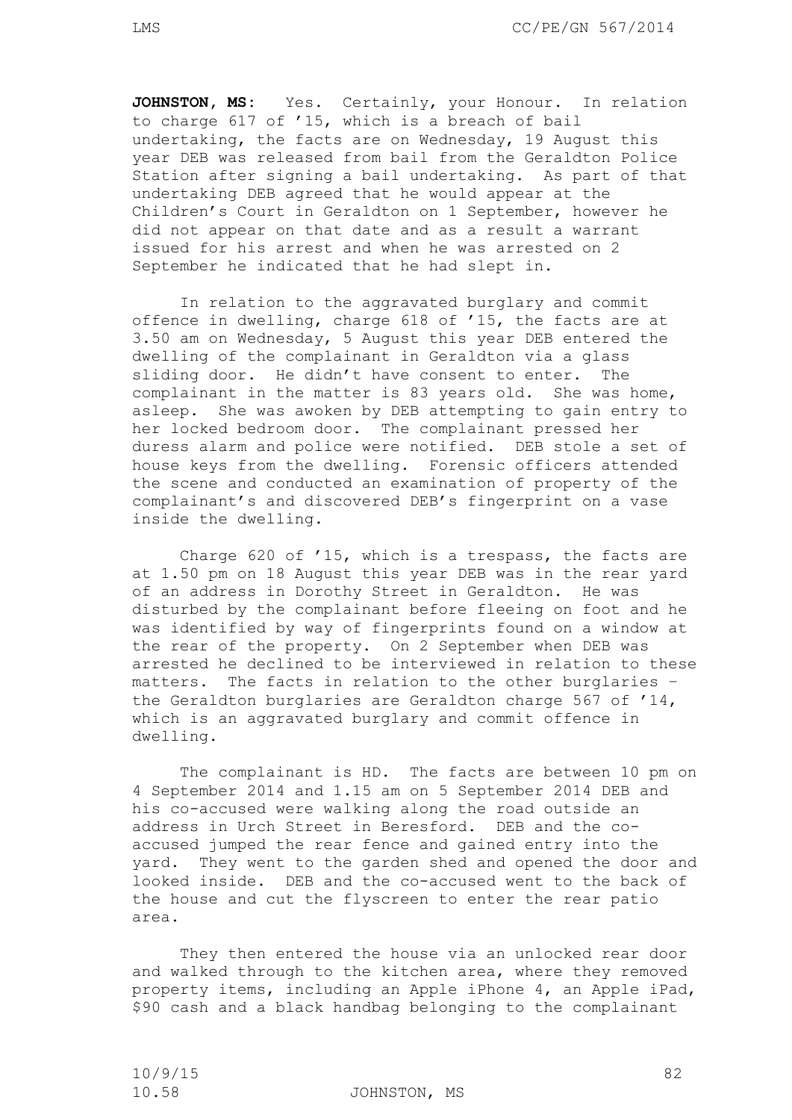JOHNSTON, MS: Yes. Certainly, your Honour. In relation to charge 617 of '15, which is a breach of bail undertaking, the facts are on Wednesday, 19 August this year DEB was released from bail from the Geraldton Police Station after signing a bail undertaking. As part of that undertaking DEB agreed that he would appear at the Children's Court in Geraldton on 1 September, however he did not appear on that date and as a result a warrant issued for his arrest and when he was arrested on 2 September he indicated that he had slept in.

In relation to the aggravated burglary and commit offence in dwelling, charge 618 of '15, the facts are at 3.50 am on Wednesday, 5 August this year DEB entered the dwelling of the complainant in Geraldton via a glass sliding door. He didn't have consent to enter. The complainant in the matter is 83 years old. She was home, asleep. She was awoken by DEB attempting to gain entry to her locked bedroom door. The complainant pressed her duress alarm and police were notified. DEB stole a set of house keys from the dwelling. Forensic officers attended the scene and conducted an examination of property of the complainant's and discovered DEB's fingerprint on a vase inside the dwelling.

Charge 620 of '15, which is a trespass, the facts are at 1.50 pm on 18 August this year DEB was in the rear yard of an address in Dorothy Street in Geraldton. He was disturbed by the complainant before fleeing on foot and he was identified by way of fingerprints found on a window at the rear of the property. On 2 September when DEB was arrested he declined to be interviewed in relation to these matters. The facts in relation to the other burglaries – the Geraldton burglaries are Geraldton charge 567 of '14, which is an aggravated burglary and commit offence in dwelling.

The complainant is HD. The facts are between 10 pm on 4 September 2014 and 1.15 am on 5 September 2014 DEB and his co-accused were walking along the road outside an address in Urch Street in Beresford. DEB and the coaccused jumped the rear fence and gained entry into the yard. They went to the garden shed and opened the door and looked inside. DEB and the co-accused went to the back of the house and cut the flyscreen to enter the rear patio area.

They then entered the house via an unlocked rear door and walked through to the kitchen area, where they removed property items, including an Apple iPhone 4, an Apple iPad, \$90 cash and a black handbag belonging to the complainant

10/9/15 82

10.58 JOHNSTON, MS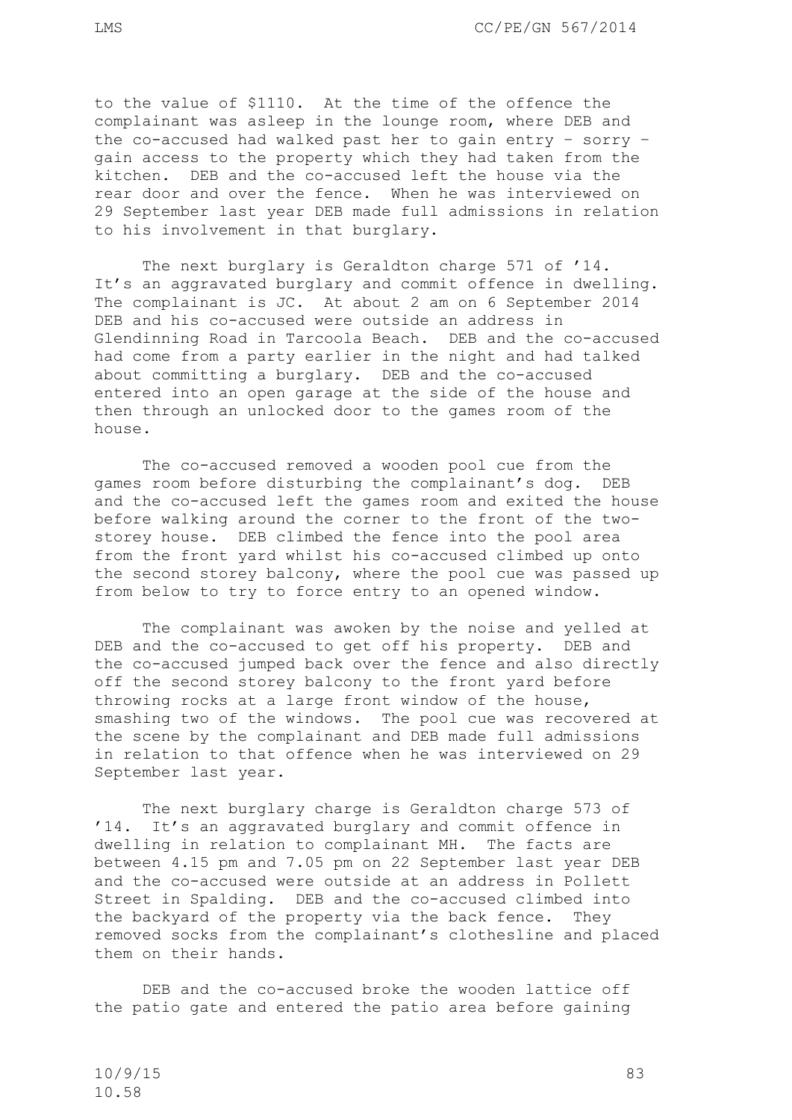to the value of \$1110. At the time of the offence the complainant was asleep in the lounge room, where DEB and the co-accused had walked past her to gain entry – sorry – gain access to the property which they had taken from the kitchen. DEB and the co-accused left the house via the rear door and over the fence. When he was interviewed on 29 September last year DEB made full admissions in relation to his involvement in that burglary.

The next burglary is Geraldton charge 571 of '14. It's an aggravated burglary and commit offence in dwelling. The complainant is JC. At about 2 am on 6 September 2014 DEB and his co-accused were outside an address in Glendinning Road in Tarcoola Beach. DEB and the co-accused had come from a party earlier in the night and had talked about committing a burglary. DEB and the co-accused entered into an open garage at the side of the house and then through an unlocked door to the games room of the house.

The co-accused removed a wooden pool cue from the games room before disturbing the complainant's dog. DEB and the co-accused left the games room and exited the house before walking around the corner to the front of the twostorey house. DEB climbed the fence into the pool area from the front yard whilst his co-accused climbed up onto the second storey balcony, where the pool cue was passed up from below to try to force entry to an opened window.

The complainant was awoken by the noise and yelled at DEB and the co-accused to get off his property. DEB and the co-accused jumped back over the fence and also directly off the second storey balcony to the front yard before throwing rocks at a large front window of the house, smashing two of the windows. The pool cue was recovered at the scene by the complainant and DEB made full admissions in relation to that offence when he was interviewed on 29 September last year.

The next burglary charge is Geraldton charge 573 of '14. It's an aggravated burglary and commit offence in dwelling in relation to complainant MH. The facts are between 4.15 pm and 7.05 pm on 22 September last year DEB and the co-accused were outside at an address in Pollett Street in Spalding. DEB and the co-accused climbed into the backyard of the property via the back fence. They removed socks from the complainant's clothesline and placed them on their hands.

DEB and the co-accused broke the wooden lattice off the patio gate and entered the patio area before gaining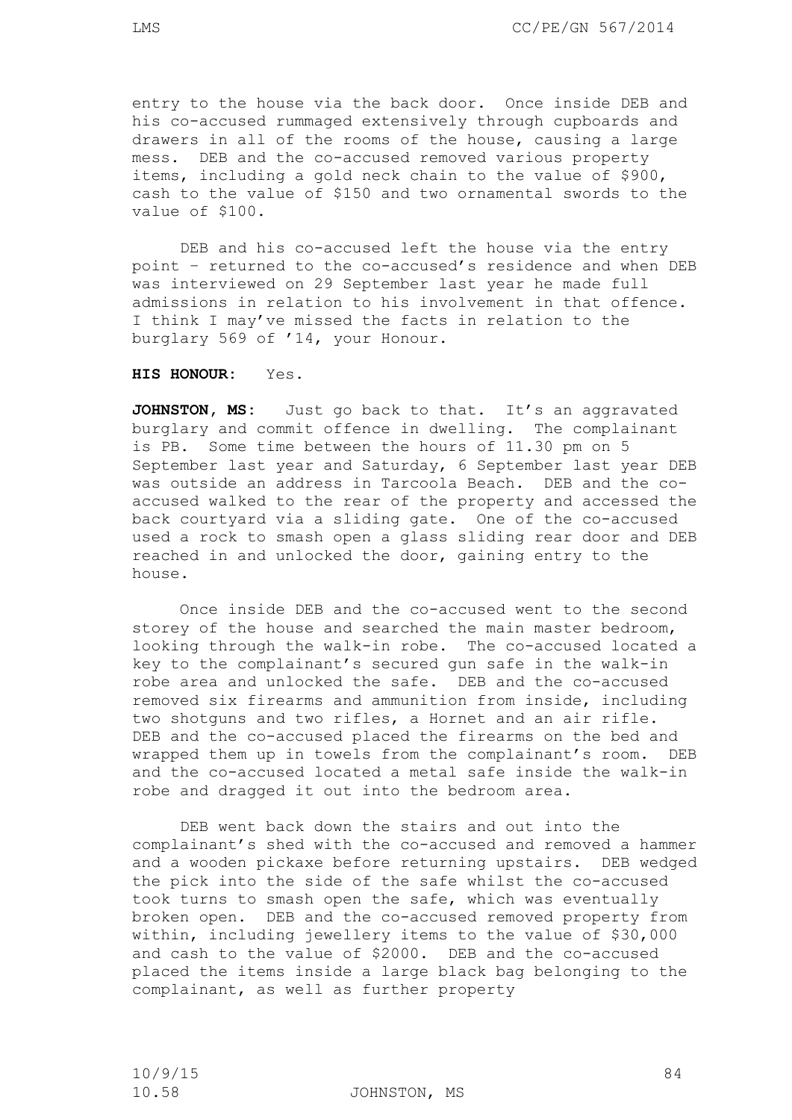entry to the house via the back door. Once inside DEB and his co-accused rummaged extensively through cupboards and drawers in all of the rooms of the house, causing a large mess. DEB and the co-accused removed various property items, including a gold neck chain to the value of \$900, cash to the value of \$150 and two ornamental swords to the value of \$100.

DEB and his co-accused left the house via the entry point – returned to the co-accused's residence and when DEB was interviewed on 29 September last year he made full admissions in relation to his involvement in that offence. I think I may've missed the facts in relation to the burglary 569 of '14, your Honour.

# **HIS HONOUR:** Yes.

JOHNSTON, MS: Just go back to that. It's an aggravated burglary and commit offence in dwelling. The complainant is PB. Some time between the hours of 11.30 pm on 5 September last year and Saturday, 6 September last year DEB was outside an address in Tarcoola Beach. DEB and the coaccused walked to the rear of the property and accessed the back courtyard via a sliding gate. One of the co-accused used a rock to smash open a glass sliding rear door and DEB reached in and unlocked the door, gaining entry to the house.

Once inside DEB and the co-accused went to the second storey of the house and searched the main master bedroom, looking through the walk-in robe. The co-accused located a key to the complainant's secured gun safe in the walk-in robe area and unlocked the safe. DEB and the co-accused removed six firearms and ammunition from inside, including two shotguns and two rifles, a Hornet and an air rifle. DEB and the co-accused placed the firearms on the bed and wrapped them up in towels from the complainant's room. DEB and the co-accused located a metal safe inside the walk-in robe and dragged it out into the bedroom area.

DEB went back down the stairs and out into the complainant's shed with the co-accused and removed a hammer and a wooden pickaxe before returning upstairs. DEB wedged the pick into the side of the safe whilst the co-accused took turns to smash open the safe, which was eventually broken open. DEB and the co-accused removed property from within, including jewellery items to the value of \$30,000 and cash to the value of \$2000. DEB and the co-accused placed the items inside a large black bag belonging to the complainant, as well as further property

10.58 JOHNSTON, MS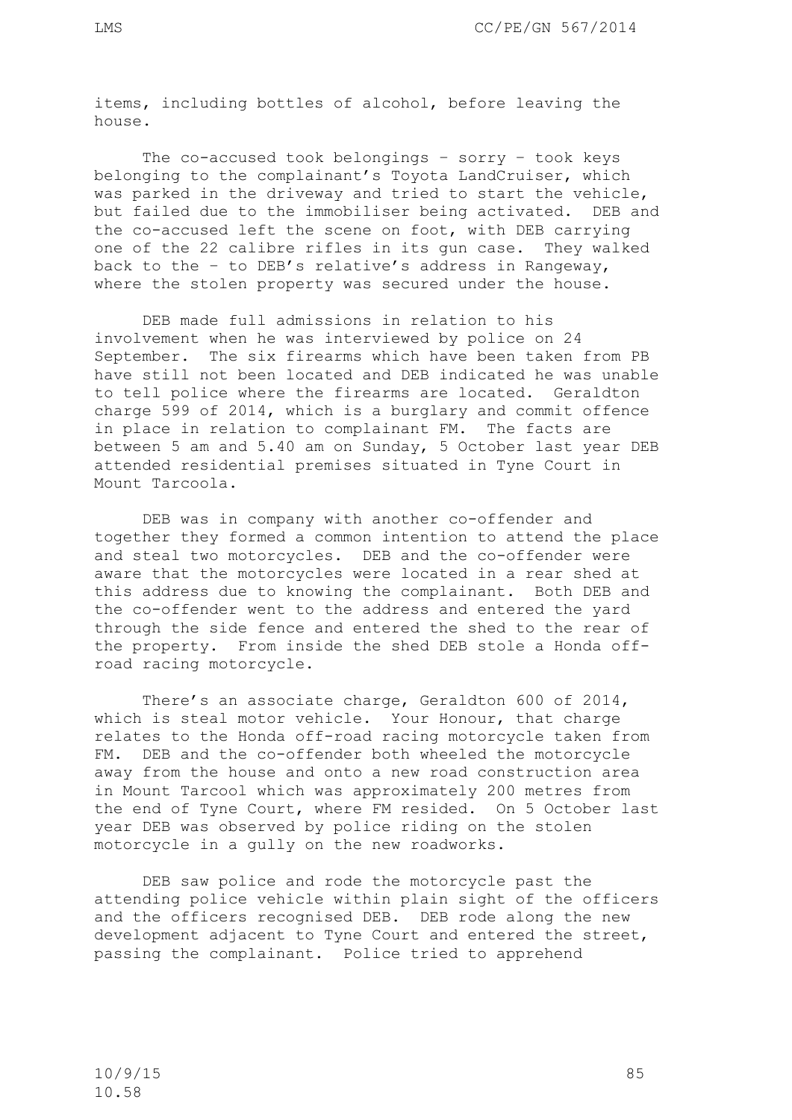items, including bottles of alcohol, before leaving the house.

The co-accused took belongings – sorry – took keys belonging to the complainant's Toyota LandCruiser, which was parked in the driveway and tried to start the vehicle, but failed due to the immobiliser being activated. DEB and the co-accused left the scene on foot, with DEB carrying one of the 22 calibre rifles in its gun case. They walked back to the – to DEB's relative's address in Rangeway, where the stolen property was secured under the house.

DEB made full admissions in relation to his involvement when he was interviewed by police on 24 September. The six firearms which have been taken from PB have still not been located and DEB indicated he was unable to tell police where the firearms are located. Geraldton charge 599 of 2014, which is a burglary and commit offence in place in relation to complainant FM. The facts are between 5 am and 5.40 am on Sunday, 5 October last year DEB attended residential premises situated in Tyne Court in Mount Tarcoola.

DEB was in company with another co-offender and together they formed a common intention to attend the place and steal two motorcycles. DEB and the co-offender were aware that the motorcycles were located in a rear shed at this address due to knowing the complainant. Both DEB and the co-offender went to the address and entered the yard through the side fence and entered the shed to the rear of the property. From inside the shed DEB stole a Honda offroad racing motorcycle.

There's an associate charge, Geraldton 600 of 2014, which is steal motor vehicle. Your Honour, that charge relates to the Honda off-road racing motorcycle taken from FM. DEB and the co-offender both wheeled the motorcycle away from the house and onto a new road construction area in Mount Tarcool which was approximately 200 metres from the end of Tyne Court, where FM resided. On 5 October last year DEB was observed by police riding on the stolen motorcycle in a gully on the new roadworks.

DEB saw police and rode the motorcycle past the attending police vehicle within plain sight of the officers and the officers recognised DEB. DEB rode along the new development adjacent to Tyne Court and entered the street, passing the complainant. Police tried to apprehend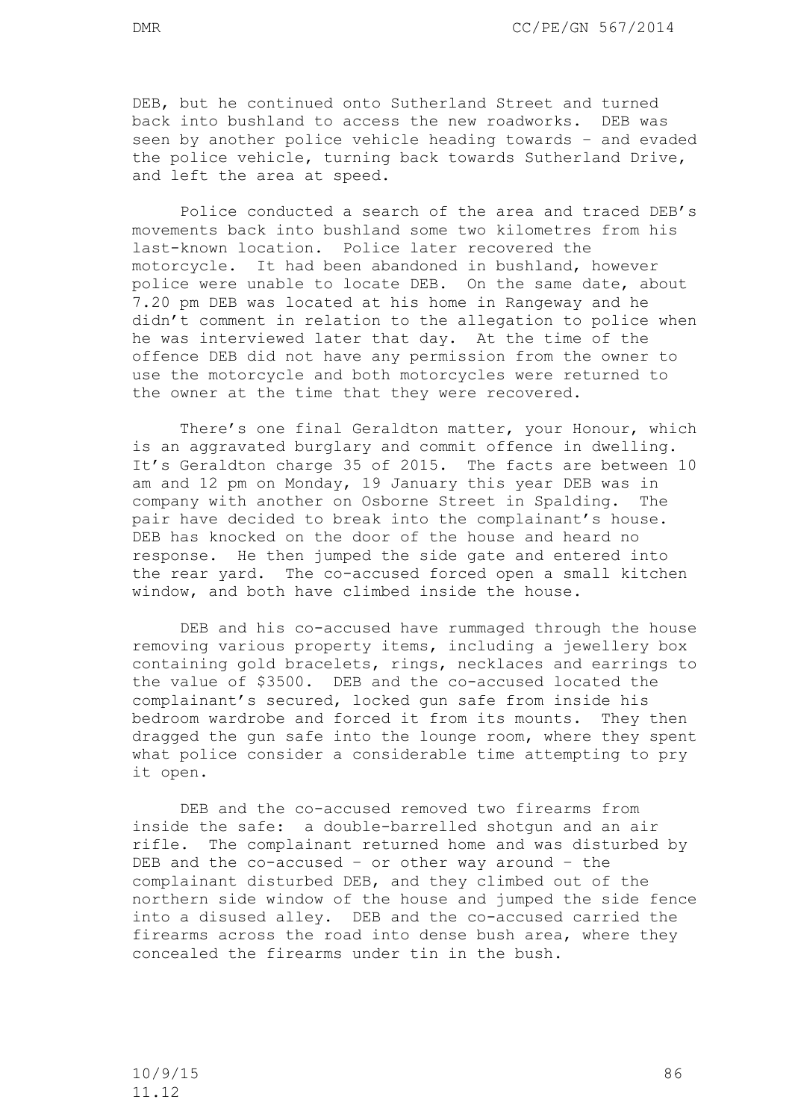DEB, but he continued onto Sutherland Street and turned back into bushland to access the new roadworks. DEB was seen by another police vehicle heading towards – and evaded the police vehicle, turning back towards Sutherland Drive, and left the area at speed.

Police conducted a search of the area and traced DEB's movements back into bushland some two kilometres from his last-known location. Police later recovered the motorcycle. It had been abandoned in bushland, however police were unable to locate DEB. On the same date, about 7.20 pm DEB was located at his home in Rangeway and he didn't comment in relation to the allegation to police when he was interviewed later that day. At the time of the offence DEB did not have any permission from the owner to use the motorcycle and both motorcycles were returned to the owner at the time that they were recovered.

There's one final Geraldton matter, your Honour, which is an aggravated burglary and commit offence in dwelling. It's Geraldton charge 35 of 2015. The facts are between 10 am and 12 pm on Monday, 19 January this year DEB was in company with another on Osborne Street in Spalding. The pair have decided to break into the complainant's house. DEB has knocked on the door of the house and heard no response. He then jumped the side gate and entered into the rear yard. The co-accused forced open a small kitchen window, and both have climbed inside the house.

DEB and his co-accused have rummaged through the house removing various property items, including a jewellery box containing gold bracelets, rings, necklaces and earrings to the value of \$3500. DEB and the co-accused located the complainant's secured, locked gun safe from inside his bedroom wardrobe and forced it from its mounts. They then dragged the gun safe into the lounge room, where they spent what police consider a considerable time attempting to pry it open.

DEB and the co-accused removed two firearms from inside the safe: a double-barrelled shotgun and an air rifle. The complainant returned home and was disturbed by DEB and the co-accused – or other way around – the complainant disturbed DEB, and they climbed out of the northern side window of the house and jumped the side fence into a disused alley. DEB and the co-accused carried the firearms across the road into dense bush area, where they concealed the firearms under tin in the bush.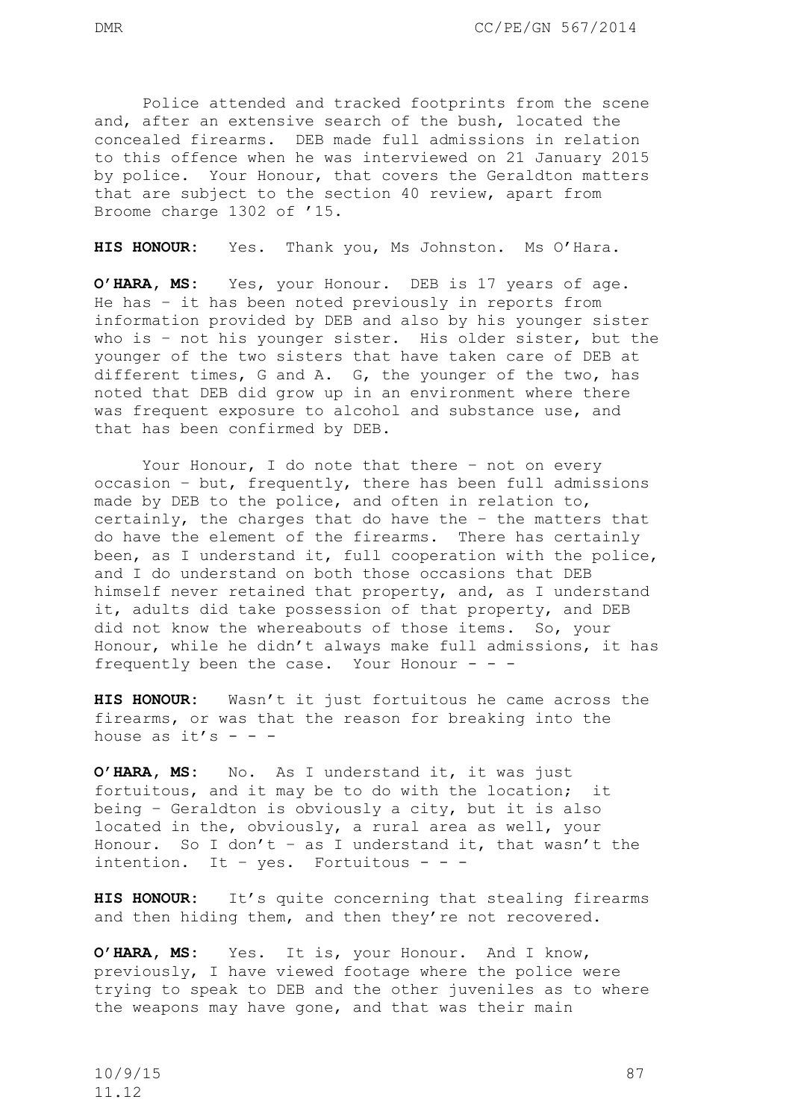Police attended and tracked footprints from the scene and, after an extensive search of the bush, located the concealed firearms. DEB made full admissions in relation to this offence when he was interviewed on 21 January 2015 by police. Your Honour, that covers the Geraldton matters that are subject to the section 40 review, apart from Broome charge 1302 of '15.

**HIS HONOUR:** Yes. Thank you, Ms Johnston. Ms O'Hara.

**O'HARA, MS:** Yes, your Honour. DEB is 17 years of age. He has – it has been noted previously in reports from information provided by DEB and also by his younger sister who is – not his younger sister. His older sister, but the younger of the two sisters that have taken care of DEB at different times, G and A. G, the younger of the two, has noted that DEB did grow up in an environment where there was frequent exposure to alcohol and substance use, and that has been confirmed by DEB.

Your Honour, I do note that there – not on every occasion – but, frequently, there has been full admissions made by DEB to the police, and often in relation to, certainly, the charges that do have the – the matters that do have the element of the firearms. There has certainly been, as I understand it, full cooperation with the police, and I do understand on both those occasions that DEB himself never retained that property, and, as I understand it, adults did take possession of that property, and DEB did not know the whereabouts of those items. So, your Honour, while he didn't always make full admissions, it has frequently been the case. Your Honour  $- -$ 

**HIS HONOUR:** Wasn't it just fortuitous he came across the firearms, or was that the reason for breaking into the house as it's  $-$  -

**O'HARA, MS:** No. As I understand it, it was just fortuitous, and it may be to do with the location; it being – Geraldton is obviously a city, but it is also located in the, obviously, a rural area as well, your Honour. So I don't - as I understand it, that wasn't the intention. It – yes. Fortuitous - - -

**HIS HONOUR:** It's quite concerning that stealing firearms and then hiding them, and then they're not recovered.

**O'HARA, MS:** Yes. It is, your Honour. And I know, previously, I have viewed footage where the police were trying to speak to DEB and the other juveniles as to where the weapons may have gone, and that was their main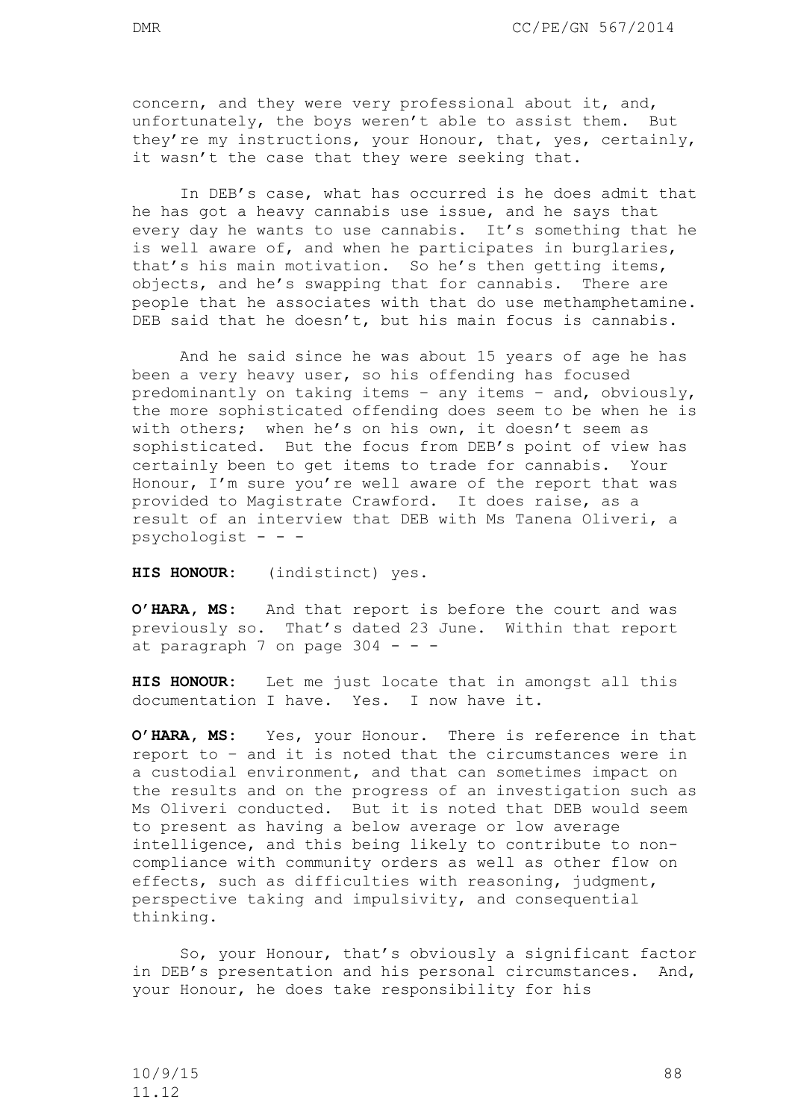concern, and they were very professional about it, and, unfortunately, the boys weren't able to assist them. But they're my instructions, your Honour, that, yes, certainly, it wasn't the case that they were seeking that.

In DEB's case, what has occurred is he does admit that he has got a heavy cannabis use issue, and he says that every day he wants to use cannabis. It's something that he is well aware of, and when he participates in burglaries, that's his main motivation. So he's then getting items, objects, and he's swapping that for cannabis. There are people that he associates with that do use methamphetamine. DEB said that he doesn't, but his main focus is cannabis.

And he said since he was about 15 years of age he has been a very heavy user, so his offending has focused predominantly on taking items – any items – and, obviously, the more sophisticated offending does seem to be when he is with others; when he's on his own, it doesn't seem as sophisticated. But the focus from DEB's point of view has certainly been to get items to trade for cannabis. Your Honour, I'm sure you're well aware of the report that was provided to Magistrate Crawford. It does raise, as a result of an interview that DEB with Ms Tanena Oliveri, a psychologist - - -

**HIS HONOUR:** (indistinct) yes.

**O'HARA, MS:** And that report is before the court and was previously so. That's dated 23 June. Within that report at paragraph  $7$  on page  $304 - -$ 

**HIS HONOUR:** Let me just locate that in amongst all this documentation I have. Yes. I now have it.

**O'HARA, MS:** Yes, your Honour. There is reference in that report to – and it is noted that the circumstances were in a custodial environment, and that can sometimes impact on the results and on the progress of an investigation such as Ms Oliveri conducted. But it is noted that DEB would seem to present as having a below average or low average intelligence, and this being likely to contribute to noncompliance with community orders as well as other flow on effects, such as difficulties with reasoning, judgment, perspective taking and impulsivity, and consequential thinking.

So, your Honour, that's obviously a significant factor in DEB's presentation and his personal circumstances. And, your Honour, he does take responsibility for his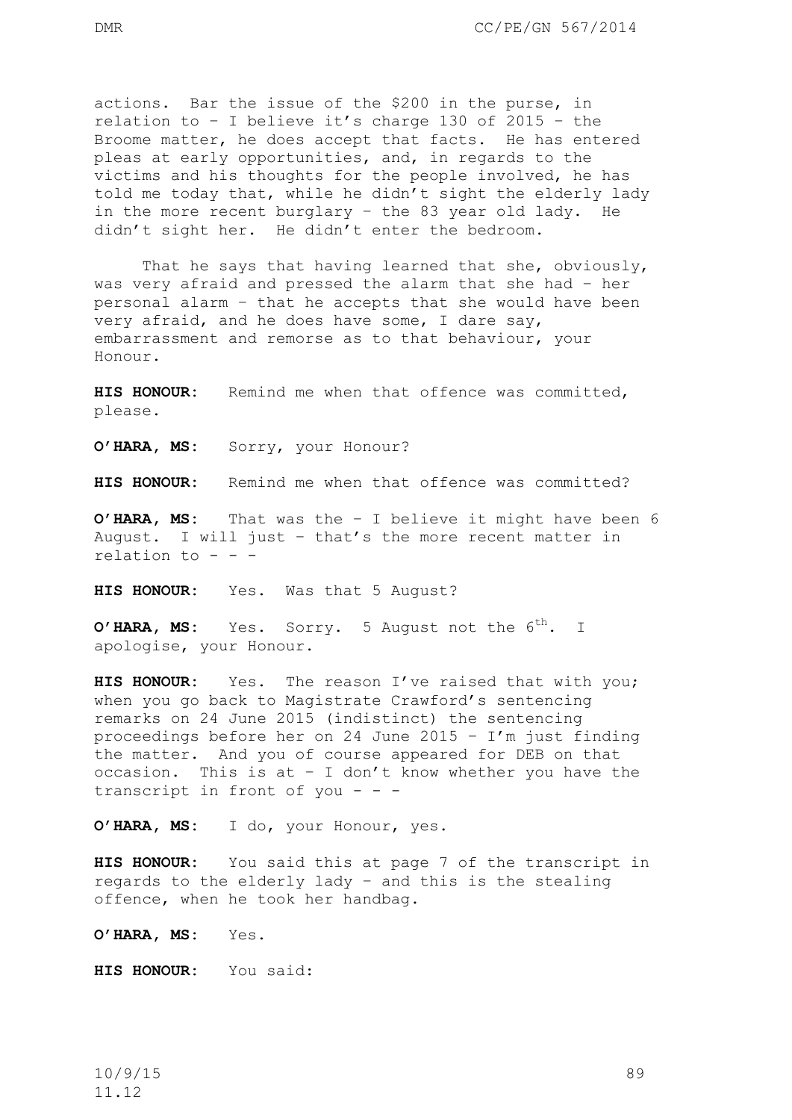actions. Bar the issue of the \$200 in the purse, in relation to – I believe it's charge 130 of 2015 – the Broome matter, he does accept that facts. He has entered pleas at early opportunities, and, in regards to the victims and his thoughts for the people involved, he has told me today that, while he didn't sight the elderly lady in the more recent burglary – the 83 year old lady. He didn't sight her. He didn't enter the bedroom.

That he says that having learned that she, obviously, was very afraid and pressed the alarm that she had – her personal alarm – that he accepts that she would have been very afraid, and he does have some, I dare say, embarrassment and remorse as to that behaviour, your Honour.

**HIS HONOUR:** Remind me when that offence was committed, please.

**O'HARA, MS:** Sorry, your Honour?

**HIS HONOUR:** Remind me when that offence was committed?

**O'HARA, MS:** That was the – I believe it might have been 6 August. I will just – that's the more recent matter in relation to - - -

**HIS HONOUR:** Yes. Was that 5 August?

**O'HARA, MS:** Yes. Sorry. 5 August not the 6<sup>th</sup>. I apologise, your Honour.

**HIS HONOUR:** Yes. The reason I've raised that with you; when you go back to Magistrate Crawford's sentencing remarks on 24 June 2015 (indistinct) the sentencing proceedings before her on 24 June 2015 – I'm just finding the matter. And you of course appeared for DEB on that occasion. This is at – I don't know whether you have the transcript in front of you - - -

**O'HARA, MS:** I do, your Honour, yes.

**HIS HONOUR:** You said this at page 7 of the transcript in regards to the elderly lady – and this is the stealing offence, when he took her handbag.

**O'HARA, MS:** Yes.

**HIS HONOUR:** You said:

10/9/15 89 11.12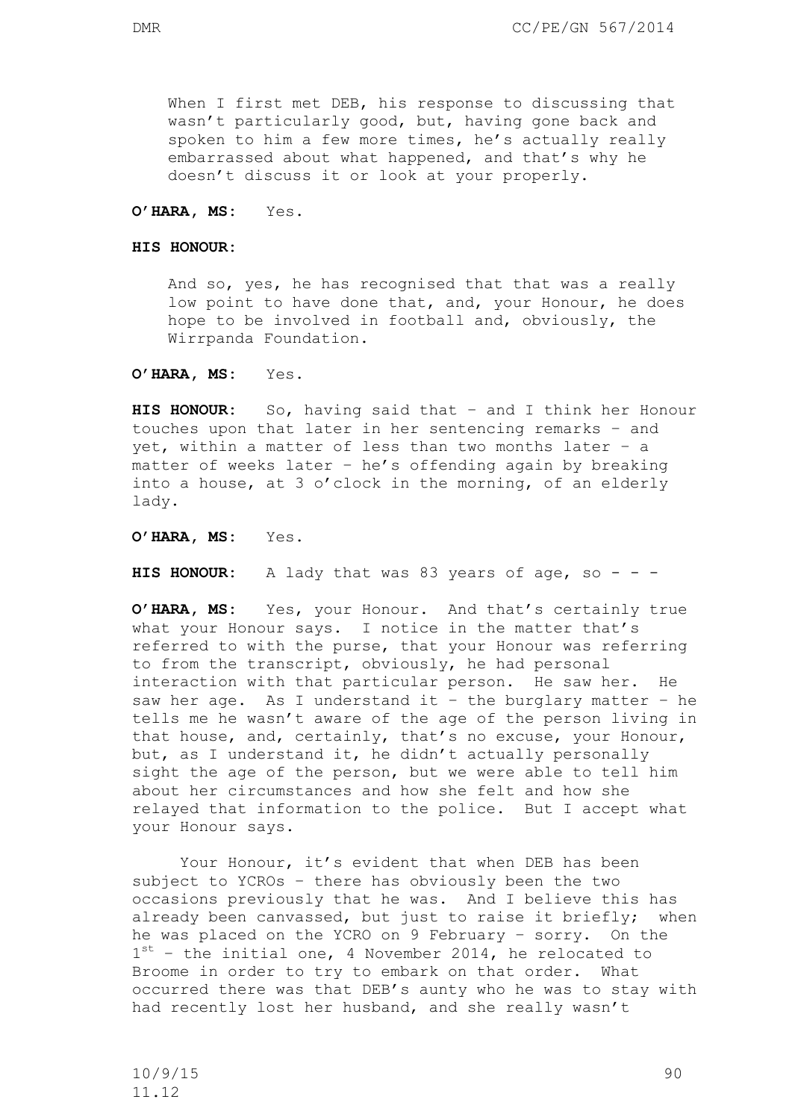When I first met DEB, his response to discussing that wasn't particularly good, but, having gone back and spoken to him a few more times, he's actually really embarrassed about what happened, and that's why he doesn't discuss it or look at your properly.

#### **O'HARA, MS:** Yes.

#### **HIS HONOUR:**

And so, yes, he has recognised that that was a really low point to have done that, and, your Honour, he does hope to be involved in football and, obviously, the Wirrpanda Foundation.

**O'HARA, MS:** Yes.

**HIS HONOUR:** So, having said that – and I think her Honour touches upon that later in her sentencing remarks – and yet, within a matter of less than two months later – a matter of weeks later – he's offending again by breaking into a house, at 3 o'clock in the morning, of an elderly lady.

**O'HARA, MS:** Yes.

**HIS HONOUR:** A lady that was 83 years of age, so - - -

**O'HARA, MS:** Yes, your Honour. And that's certainly true what your Honour says. I notice in the matter that's referred to with the purse, that your Honour was referring to from the transcript, obviously, he had personal interaction with that particular person. He saw her. He saw her age. As I understand it – the burglary matter – he tells me he wasn't aware of the age of the person living in that house, and, certainly, that's no excuse, your Honour, but, as I understand it, he didn't actually personally sight the age of the person, but we were able to tell him about her circumstances and how she felt and how she relayed that information to the police. But I accept what your Honour says.

Your Honour, it's evident that when DEB has been subject to YCROs – there has obviously been the two occasions previously that he was. And I believe this has already been canvassed, but just to raise it briefly; when he was placed on the YCRO on 9 February – sorry. On the 1<sup>st</sup> - the initial one, 4 November 2014, he relocated to Broome in order to try to embark on that order. What occurred there was that DEB's aunty who he was to stay with had recently lost her husband, and she really wasn't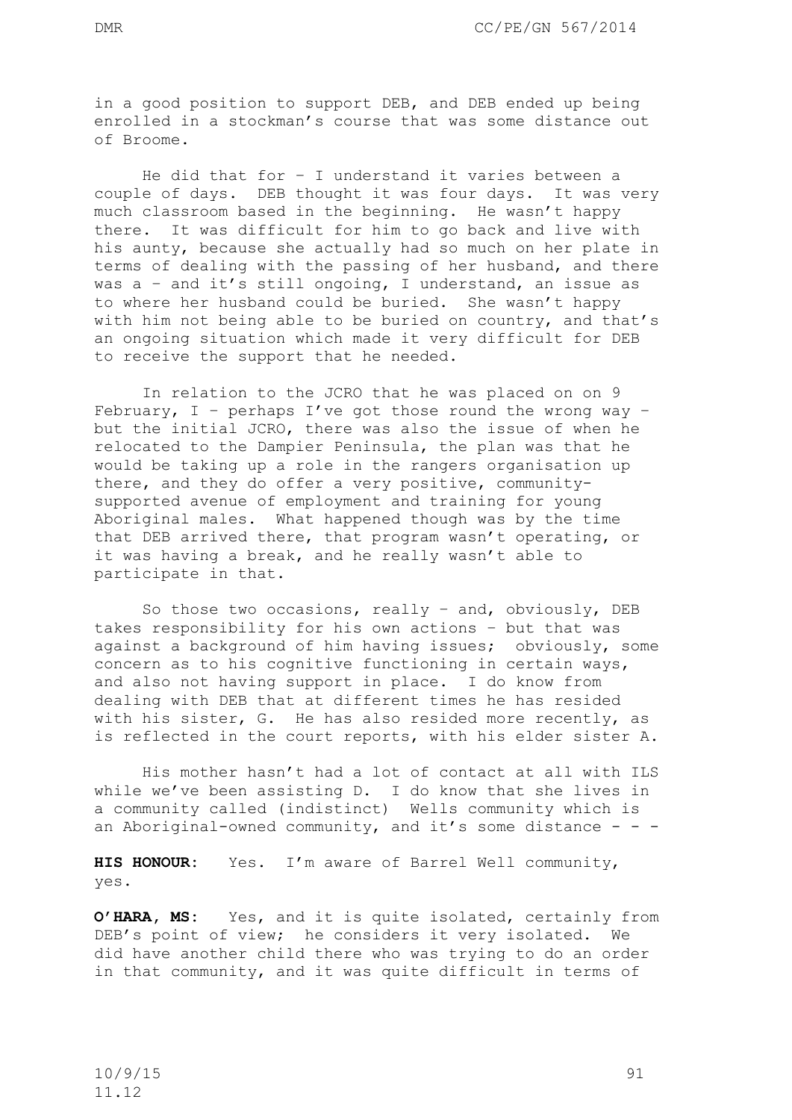in a good position to support DEB, and DEB ended up being enrolled in a stockman's course that was some distance out of Broome.

He did that for – I understand it varies between a couple of days. DEB thought it was four days. It was very much classroom based in the beginning. He wasn't happy there. It was difficult for him to go back and live with his aunty, because she actually had so much on her plate in terms of dealing with the passing of her husband, and there was a – and it's still ongoing, I understand, an issue as to where her husband could be buried. She wasn't happy with him not being able to be buried on country, and that's an ongoing situation which made it very difficult for DEB to receive the support that he needed.

In relation to the JCRO that he was placed on on 9 February,  $I$  - perhaps I've got those round the wrong way but the initial JCRO, there was also the issue of when he relocated to the Dampier Peninsula, the plan was that he would be taking up a role in the rangers organisation up there, and they do offer a very positive, communitysupported avenue of employment and training for young Aboriginal males. What happened though was by the time that DEB arrived there, that program wasn't operating, or it was having a break, and he really wasn't able to participate in that.

So those two occasions, really – and, obviously, DEB takes responsibility for his own actions – but that was against a background of him having issues; obviously, some concern as to his cognitive functioning in certain ways, and also not having support in place. I do know from dealing with DEB that at different times he has resided with his sister, G. He has also resided more recently, as is reflected in the court reports, with his elder sister A.

His mother hasn't had a lot of contact at all with ILS while we've been assisting D. I do know that she lives in a community called (indistinct) Wells community which is an Aboriginal-owned community, and it's some distance - - -

**HIS HONOUR:** Yes. I'm aware of Barrel Well community, yes.

**O'HARA, MS:** Yes, and it is quite isolated, certainly from DEB's point of view; he considers it very isolated. We did have another child there who was trying to do an order in that community, and it was quite difficult in terms of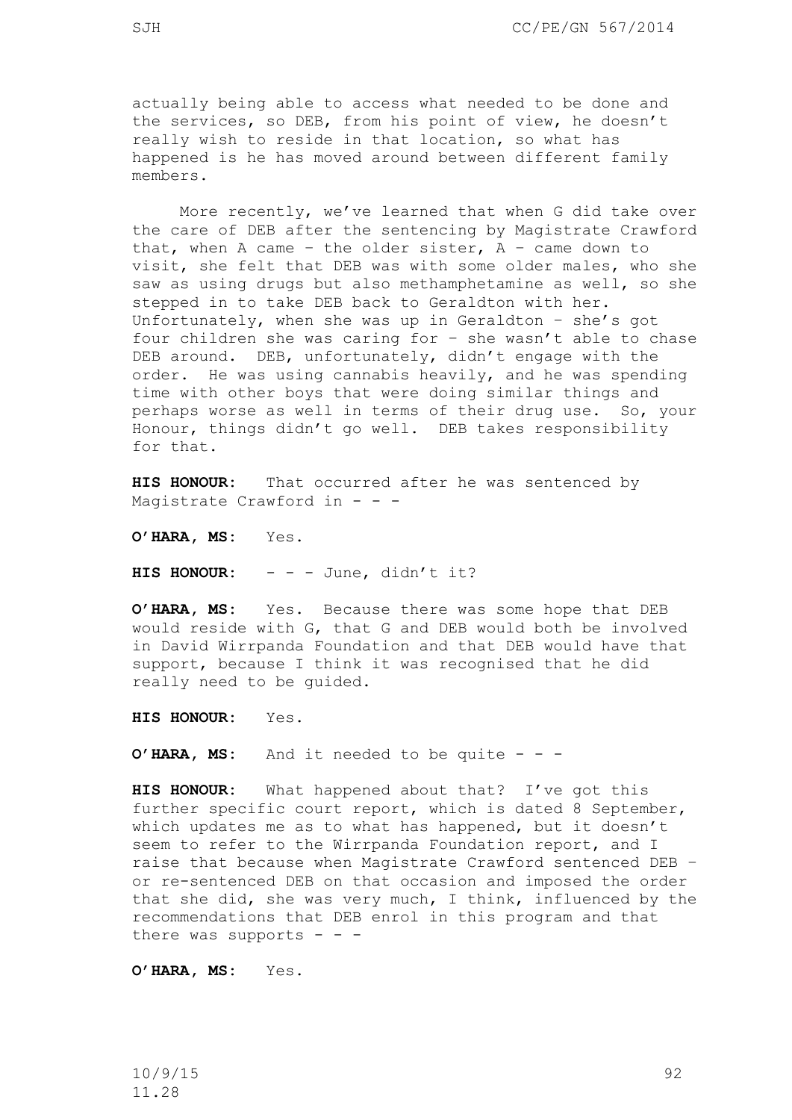actually being able to access what needed to be done and the services, so DEB, from his point of view, he doesn't really wish to reside in that location, so what has happened is he has moved around between different family members.

More recently, we've learned that when G did take over the care of DEB after the sentencing by Magistrate Crawford that, when  $A$  came - the older sister,  $A$  - came down to visit, she felt that DEB was with some older males, who she saw as using drugs but also methamphetamine as well, so she stepped in to take DEB back to Geraldton with her. Unfortunately, when she was up in Geraldton – she's got four children she was caring for – she wasn't able to chase DEB around. DEB, unfortunately, didn't engage with the order. He was using cannabis heavily, and he was spending time with other boys that were doing similar things and perhaps worse as well in terms of their drug use. So, your Honour, things didn't go well. DEB takes responsibility for that.

**HIS HONOUR:** That occurred after he was sentenced by Magistrate Crawford in  $-$  -  $-$ 

**O'HARA, MS:** Yes.

**HIS HONOUR:** - - - June, didn't it?

**O'HARA, MS:** Yes. Because there was some hope that DEB would reside with G, that G and DEB would both be involved in David Wirrpanda Foundation and that DEB would have that support, because I think it was recognised that he did really need to be guided.

**HIS HONOUR:** Yes.

**O'HARA, MS:** And it needed to be quite - - -

**HIS HONOUR:** What happened about that? I've got this further specific court report, which is dated 8 September, which updates me as to what has happened, but it doesn't seem to refer to the Wirrpanda Foundation report, and I raise that because when Magistrate Crawford sentenced DEB – or re-sentenced DEB on that occasion and imposed the order that she did, she was very much, I think, influenced by the recommendations that DEB enrol in this program and that there was supports  $- -$ 

**O'HARA, MS:** Yes.

10/9/15 92 11.28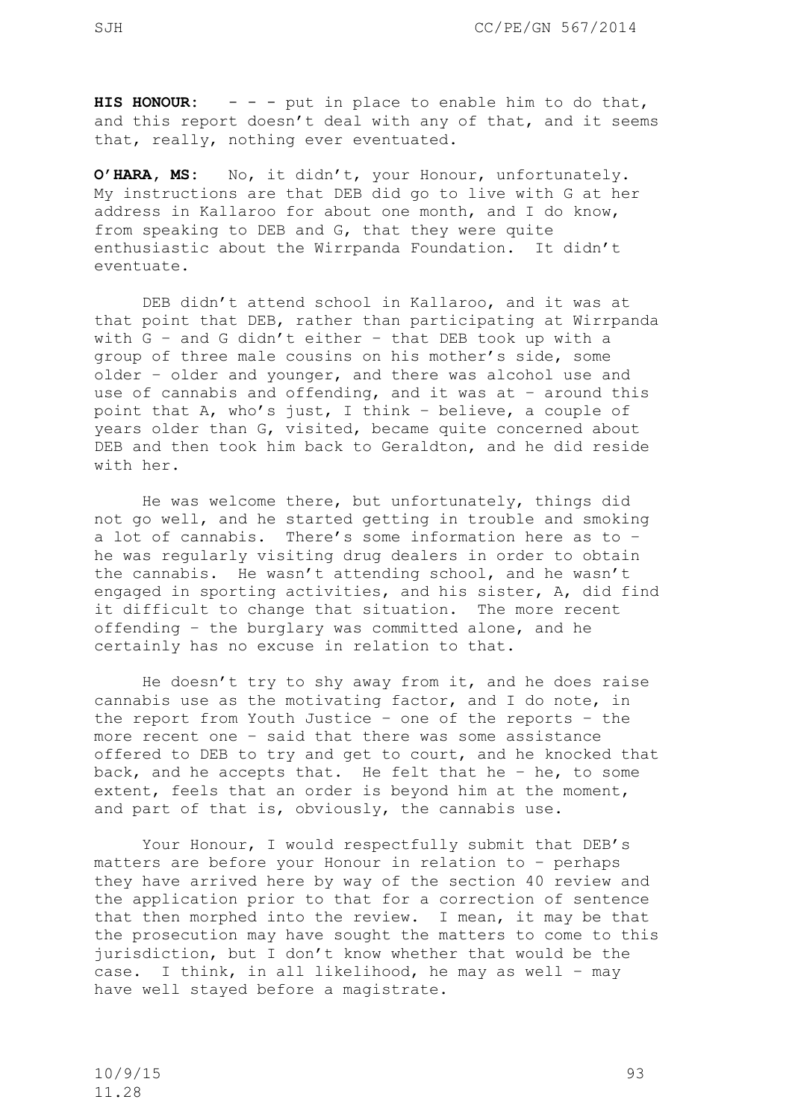**HIS HONOUR:** - - - put in place to enable him to do that, and this report doesn't deal with any of that, and it seems that, really, nothing ever eventuated.

**O'HARA, MS:** No, it didn't, your Honour, unfortunately. My instructions are that DEB did go to live with G at her address in Kallaroo for about one month, and I do know, from speaking to DEB and G, that they were quite enthusiastic about the Wirrpanda Foundation. It didn't eventuate.

DEB didn't attend school in Kallaroo, and it was at that point that DEB, rather than participating at Wirrpanda with G – and G didn't either – that DEB took up with a group of three male cousins on his mother's side, some older – older and younger, and there was alcohol use and use of cannabis and offending, and it was at – around this point that A, who's just, I think – believe, a couple of years older than G, visited, became quite concerned about DEB and then took him back to Geraldton, and he did reside with her.

He was welcome there, but unfortunately, things did not go well, and he started getting in trouble and smoking a lot of cannabis. There's some information here as to – he was regularly visiting drug dealers in order to obtain the cannabis. He wasn't attending school, and he wasn't engaged in sporting activities, and his sister, A, did find it difficult to change that situation. The more recent offending – the burglary was committed alone, and he certainly has no excuse in relation to that.

He doesn't try to shy away from it, and he does raise cannabis use as the motivating factor, and I do note, in the report from Youth Justice – one of the reports – the more recent one – said that there was some assistance offered to DEB to try and get to court, and he knocked that back, and he accepts that. He felt that he – he, to some extent, feels that an order is beyond him at the moment, and part of that is, obviously, the cannabis use.

Your Honour, I would respectfully submit that DEB's matters are before your Honour in relation to – perhaps they have arrived here by way of the section 40 review and the application prior to that for a correction of sentence that then morphed into the review. I mean, it may be that the prosecution may have sought the matters to come to this jurisdiction, but I don't know whether that would be the case. I think, in all likelihood, he may as well – may have well stayed before a magistrate.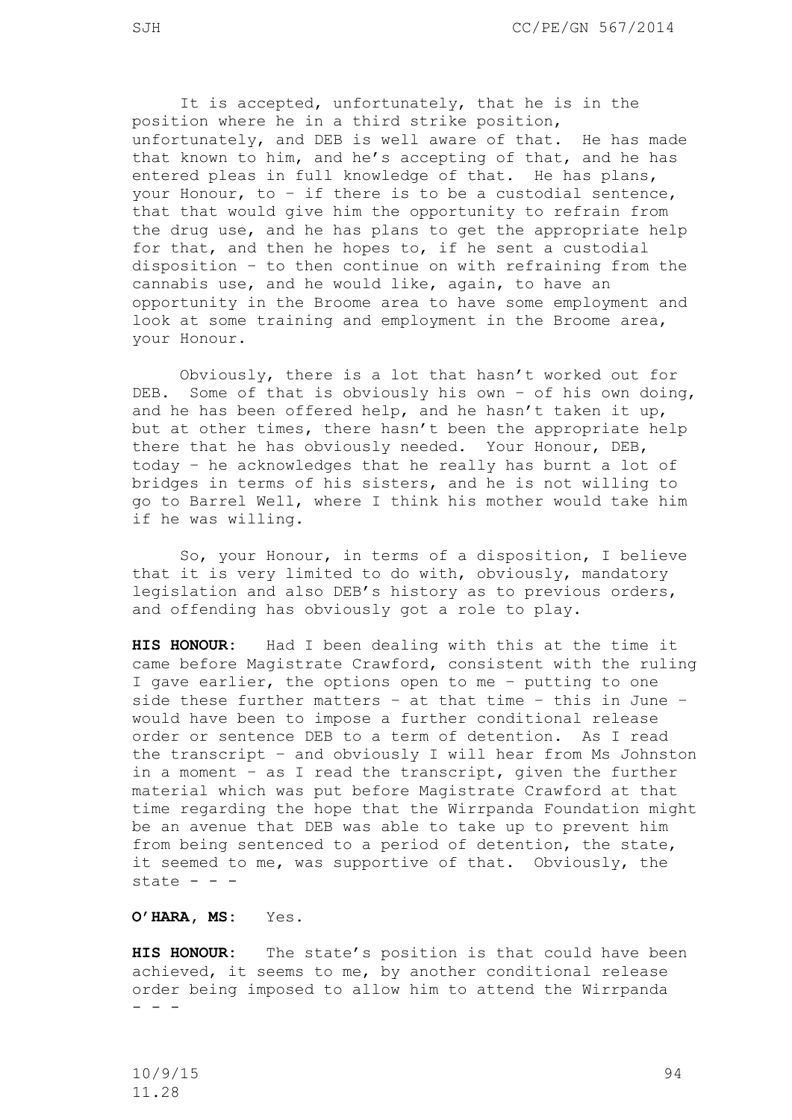It is accepted, unfortunately, that he is in the position where he in a third strike position, unfortunately, and DEB is well aware of that. He has made that known to him, and he's accepting of that, and he has entered pleas in full knowledge of that. He has plans, your Honour, to – if there is to be a custodial sentence, that that would give him the opportunity to refrain from the drug use, and he has plans to get the appropriate help for that, and then he hopes to, if he sent a custodial disposition – to then continue on with refraining from the cannabis use, and he would like, again, to have an opportunity in the Broome area to have some employment and look at some training and employment in the Broome area, your Honour.

Obviously, there is a lot that hasn't worked out for DEB. Some of that is obviously his own – of his own doing, and he has been offered help, and he hasn't taken it up, but at other times, there hasn't been the appropriate help there that he has obviously needed. Your Honour, DEB, today – he acknowledges that he really has burnt a lot of bridges in terms of his sisters, and he is not willing to go to Barrel Well, where I think his mother would take him if he was willing.

So, your Honour, in terms of a disposition, I believe that it is very limited to do with, obviously, mandatory legislation and also DEB's history as to previous orders, and offending has obviously got a role to play.

**HIS HONOUR:** Had I been dealing with this at the time it came before Magistrate Crawford, consistent with the ruling I gave earlier, the options open to me – putting to one side these further matters – at that time – this in June – would have been to impose a further conditional release order or sentence DEB to a term of detention. As I read the transcript – and obviously I will hear from Ms Johnston in a moment – as I read the transcript, given the further material which was put before Magistrate Crawford at that time regarding the hope that the Wirrpanda Foundation might be an avenue that DEB was able to take up to prevent him from being sentenced to a period of detention, the state, it seemed to me, was supportive of that. Obviously, the state  $- -$ 

# **O'HARA, MS:** Yes.

**HIS HONOUR:** The state's position is that could have been achieved, it seems to me, by another conditional release order being imposed to allow him to attend the Wirrpanda - - -

10/9/15 94 11.28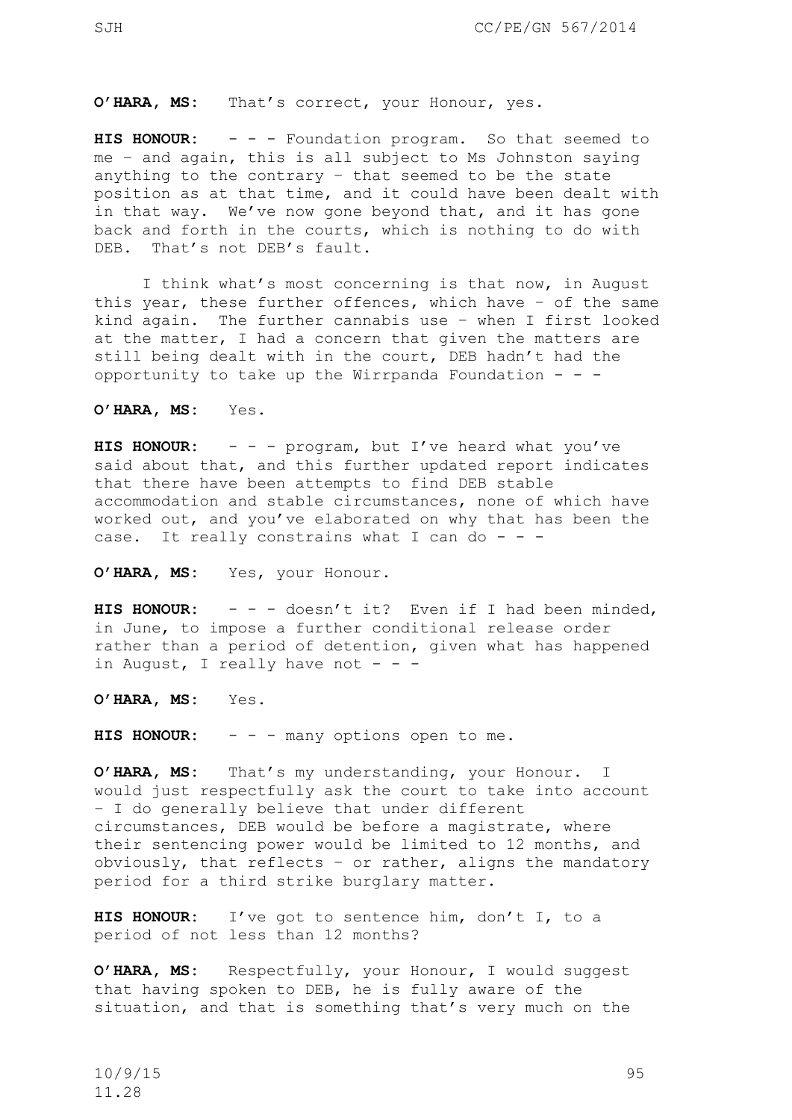# **O'HARA, MS:** That's correct, your Honour, yes.

**HIS HONOUR:** - - - Foundation program. So that seemed to me – and again, this is all subject to Ms Johnston saying anything to the contrary – that seemed to be the state position as at that time, and it could have been dealt with in that way. We've now gone beyond that, and it has gone back and forth in the courts, which is nothing to do with DEB. That's not DEB's fault.

I think what's most concerning is that now, in August this year, these further offences, which have – of the same kind again. The further cannabis use – when I first looked at the matter, I had a concern that given the matters are still being dealt with in the court, DEB hadn't had the opportunity to take up the Wirrpanda Foundation  $-$  -

**O'HARA, MS:** Yes.

**HIS HONOUR:** - - - program, but I've heard what you've said about that, and this further updated report indicates that there have been attempts to find DEB stable accommodation and stable circumstances, none of which have worked out, and you've elaborated on why that has been the case. It really constrains what I can do - - -

**O'HARA, MS:** Yes, your Honour.

**HIS HONOUR:** - - - doesn't it? Even if I had been minded, in June, to impose a further conditional release order rather than a period of detention, given what has happened in August, I really have not  $- -$ 

**O'HARA, MS:** Yes.

HIS HONOUR:  $- - -$  many options open to me.

**O'HARA, MS:** That's my understanding, your Honour. would just respectfully ask the court to take into account – I do generally believe that under different circumstances, DEB would be before a magistrate, where their sentencing power would be limited to 12 months, and obviously, that reflects – or rather, aligns the mandatory period for a third strike burglary matter.

**HIS HONOUR:** I've got to sentence him, don't I, to a period of not less than 12 months?

**O'HARA, MS:** Respectfully, your Honour, I would suggest that having spoken to DEB, he is fully aware of the situation, and that is something that's very much on the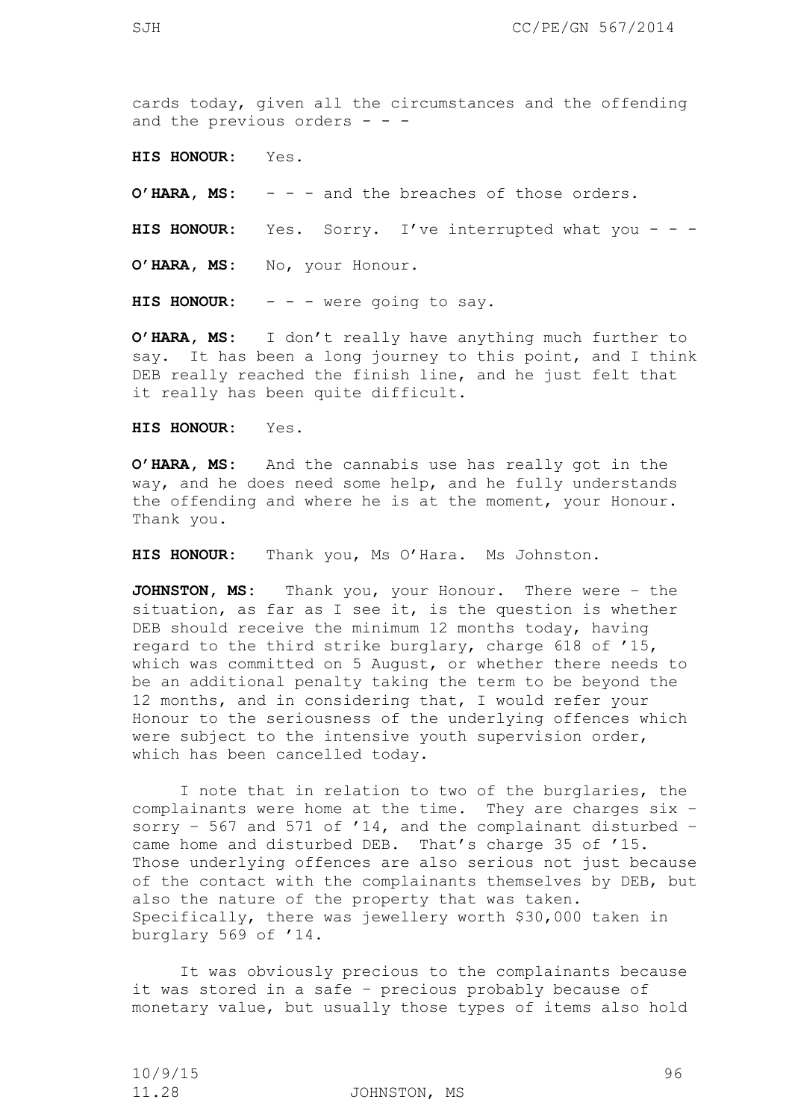cards today, given all the circumstances and the offending and the previous orders  $- -$ 

**HIS HONOUR:** Yes.

**O'HARA, MS:** - - - and the breaches of those orders.

**HIS HONOUR:** Yes. Sorry. I've interrupted what you - - -

**O'HARA, MS:** No, your Honour.

**HIS HONOUR:**  $- -$  were going to say.

**O'HARA, MS:** I don't really have anything much further to say. It has been a long journey to this point, and I think DEB really reached the finish line, and he just felt that it really has been quite difficult.

**HIS HONOUR:** Yes.

**O'HARA, MS:** And the cannabis use has really got in the way, and he does need some help, and he fully understands the offending and where he is at the moment, your Honour. Thank you.

**HIS HONOUR:** Thank you, Ms O'Hara. Ms Johnston.

**JOHNSTON, MS:** Thank you, your Honour. There were – the situation, as far as I see it, is the question is whether DEB should receive the minimum 12 months today, having regard to the third strike burglary, charge 618 of '15, which was committed on 5 August, or whether there needs to be an additional penalty taking the term to be beyond the 12 months, and in considering that, I would refer your Honour to the seriousness of the underlying offences which were subject to the intensive youth supervision order, which has been cancelled today.

I note that in relation to two of the burglaries, the complainants were home at the time. They are charges six – sorry – 567 and 571 of '14, and the complainant disturbed – came home and disturbed DEB. That's charge 35 of '15. Those underlying offences are also serious not just because of the contact with the complainants themselves by DEB, but also the nature of the property that was taken. Specifically, there was jewellery worth \$30,000 taken in burglary 569 of '14.

It was obviously precious to the complainants because it was stored in a safe – precious probably because of monetary value, but usually those types of items also hold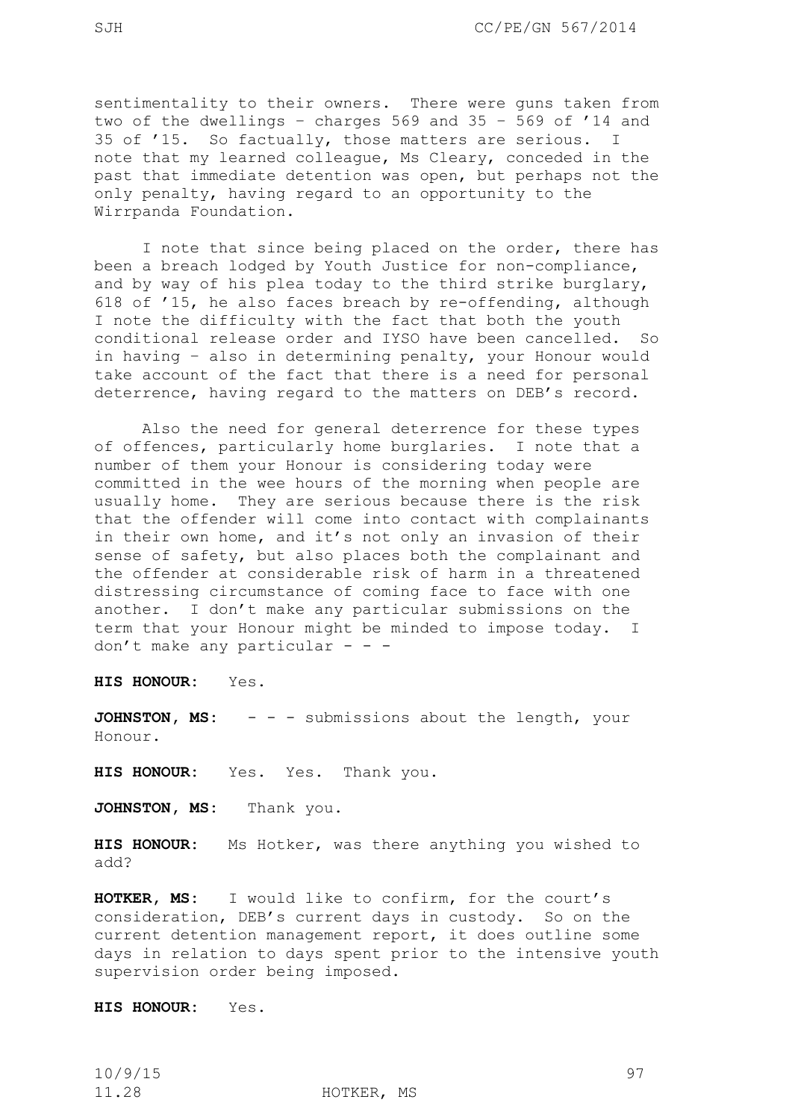sentimentality to their owners. There were guns taken from two of the dwellings – charges 569 and 35 – 569 of '14 and 35 of '15. So factually, those matters are serious. I note that my learned colleague, Ms Cleary, conceded in the past that immediate detention was open, but perhaps not the only penalty, having regard to an opportunity to the Wirrpanda Foundation.

I note that since being placed on the order, there has been a breach lodged by Youth Justice for non-compliance, and by way of his plea today to the third strike burglary, 618 of '15, he also faces breach by re-offending, although I note the difficulty with the fact that both the youth conditional release order and IYSO have been cancelled. So in having – also in determining penalty, your Honour would take account of the fact that there is a need for personal deterrence, having regard to the matters on DEB's record.

Also the need for general deterrence for these types of offences, particularly home burglaries. I note that a number of them your Honour is considering today were committed in the wee hours of the morning when people are usually home. They are serious because there is the risk that the offender will come into contact with complainants in their own home, and it's not only an invasion of their sense of safety, but also places both the complainant and the offender at considerable risk of harm in a threatened distressing circumstance of coming face to face with one another. I don't make any particular submissions on the term that your Honour might be minded to impose today. I don't make any particular  $- -$ 

**HIS HONOUR:** Yes.

JOHNSTON, MS: - - - submissions about the length, your Honour.

**HIS HONOUR:** Yes. Yes. Thank you.

JOHNSTON, MS: Thank you.

**HIS HONOUR:** Ms Hotker, was there anything you wished to add?

**HOTKER, MS:** I would like to confirm, for the court's consideration, DEB's current days in custody. So on the current detention management report, it does outline some days in relation to days spent prior to the intensive youth supervision order being imposed.

**HIS HONOUR:** Yes.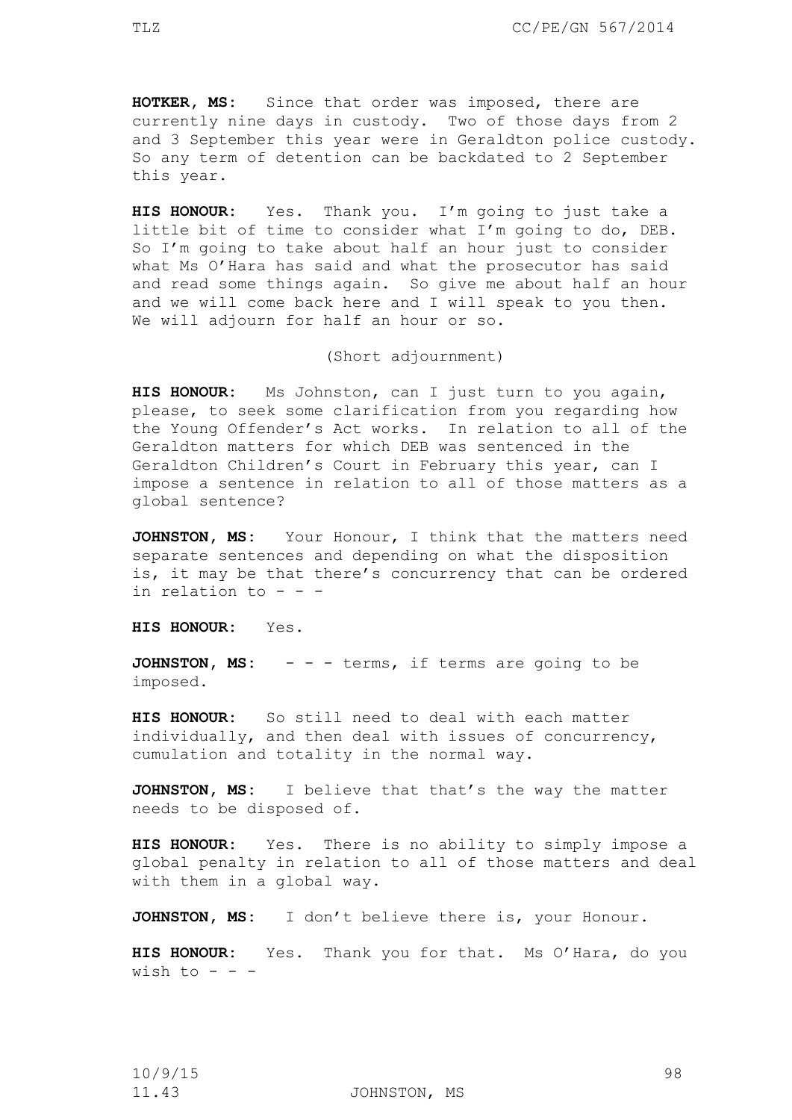**HOTKER, MS:** Since that order was imposed, there are currently nine days in custody. Two of those days from 2 and 3 September this year were in Geraldton police custody. So any term of detention can be backdated to 2 September this year.

**HIS HONOUR:** Yes. Thank you. I'm going to just take a little bit of time to consider what I'm going to do, DEB. So I'm going to take about half an hour just to consider what Ms O'Hara has said and what the prosecutor has said and read some things again. So give me about half an hour and we will come back here and I will speak to you then. We will adjourn for half an hour or so.

(Short adjournment)

**HIS HONOUR:** Ms Johnston, can I just turn to you again, please, to seek some clarification from you regarding how the Young Offender's Act works. In relation to all of the Geraldton matters for which DEB was sentenced in the Geraldton Children's Court in February this year, can I impose a sentence in relation to all of those matters as a global sentence?

**JOHNSTON, MS:** Your Honour, I think that the matters need separate sentences and depending on what the disposition is, it may be that there's concurrency that can be ordered in relation to  $- -$ 

**HIS HONOUR:** Yes.

**JOHNSTON, MS:** - - - terms, if terms are going to be imposed.

**HIS HONOUR:** So still need to deal with each matter individually, and then deal with issues of concurrency, cumulation and totality in the normal way.

JOHNSTON, MS: I believe that that's the way the matter needs to be disposed of.

**HIS HONOUR:** Yes. There is no ability to simply impose a global penalty in relation to all of those matters and deal with them in a global way.

JOHNSTON, MS: I don't believe there is, your Honour.

**HIS HONOUR:** Yes. Thank you for that. Ms O'Hara, do you wish to  $-$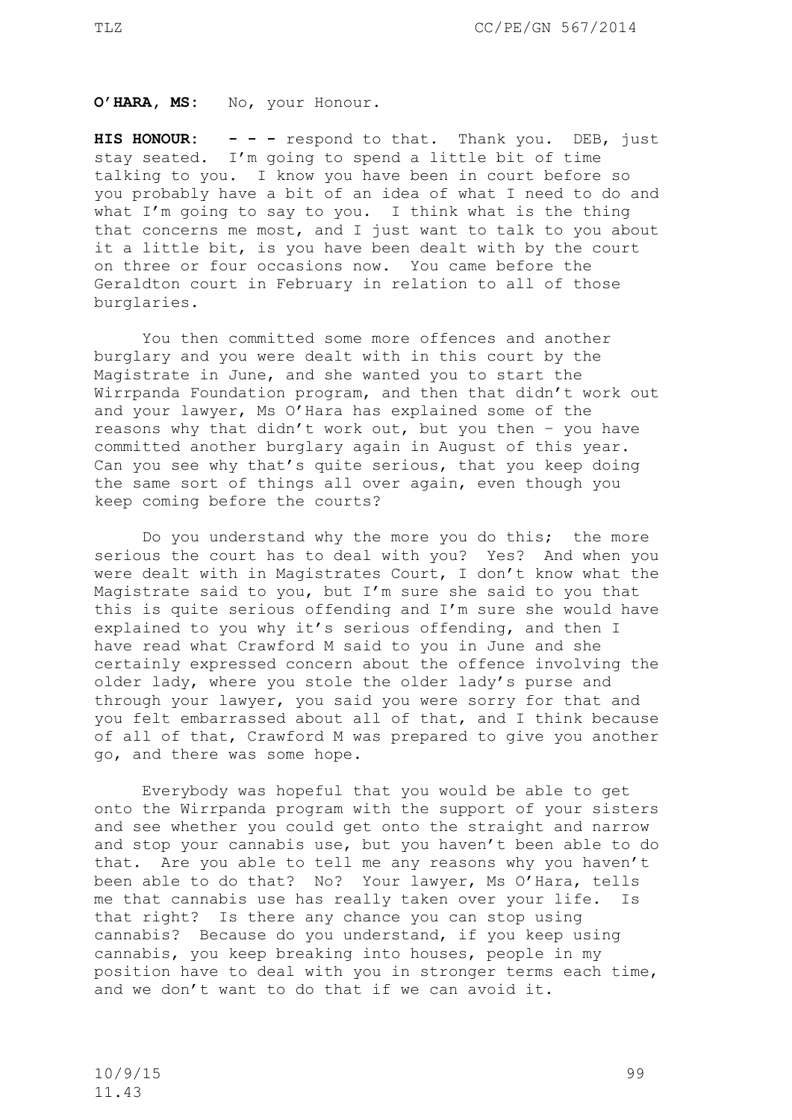## **O'HARA, MS:** No, your Honour.

**HIS HONOUR: - - -** respond to that. Thank you. DEB, just stay seated. I'm going to spend a little bit of time talking to you. I know you have been in court before so you probably have a bit of an idea of what I need to do and what I'm going to say to you. I think what is the thing that concerns me most, and I just want to talk to you about it a little bit, is you have been dealt with by the court on three or four occasions now. You came before the Geraldton court in February in relation to all of those burglaries.

You then committed some more offences and another burglary and you were dealt with in this court by the Magistrate in June, and she wanted you to start the Wirrpanda Foundation program, and then that didn't work out and your lawyer, Ms O'Hara has explained some of the reasons why that didn't work out, but you then – you have committed another burglary again in August of this year. Can you see why that's quite serious, that you keep doing the same sort of things all over again, even though you keep coming before the courts?

Do you understand why the more you do this; the more serious the court has to deal with you? Yes? And when you were dealt with in Magistrates Court, I don't know what the Magistrate said to you, but I'm sure she said to you that this is quite serious offending and I'm sure she would have explained to you why it's serious offending, and then I have read what Crawford M said to you in June and she certainly expressed concern about the offence involving the older lady, where you stole the older lady's purse and through your lawyer, you said you were sorry for that and you felt embarrassed about all of that, and I think because of all of that, Crawford M was prepared to give you another go, and there was some hope.

Everybody was hopeful that you would be able to get onto the Wirrpanda program with the support of your sisters and see whether you could get onto the straight and narrow and stop your cannabis use, but you haven't been able to do that. Are you able to tell me any reasons why you haven't been able to do that? No? Your lawyer, Ms O'Hara, tells me that cannabis use has really taken over your life. Is that right? Is there any chance you can stop using cannabis? Because do you understand, if you keep using cannabis, you keep breaking into houses, people in my position have to deal with you in stronger terms each time, and we don't want to do that if we can avoid it.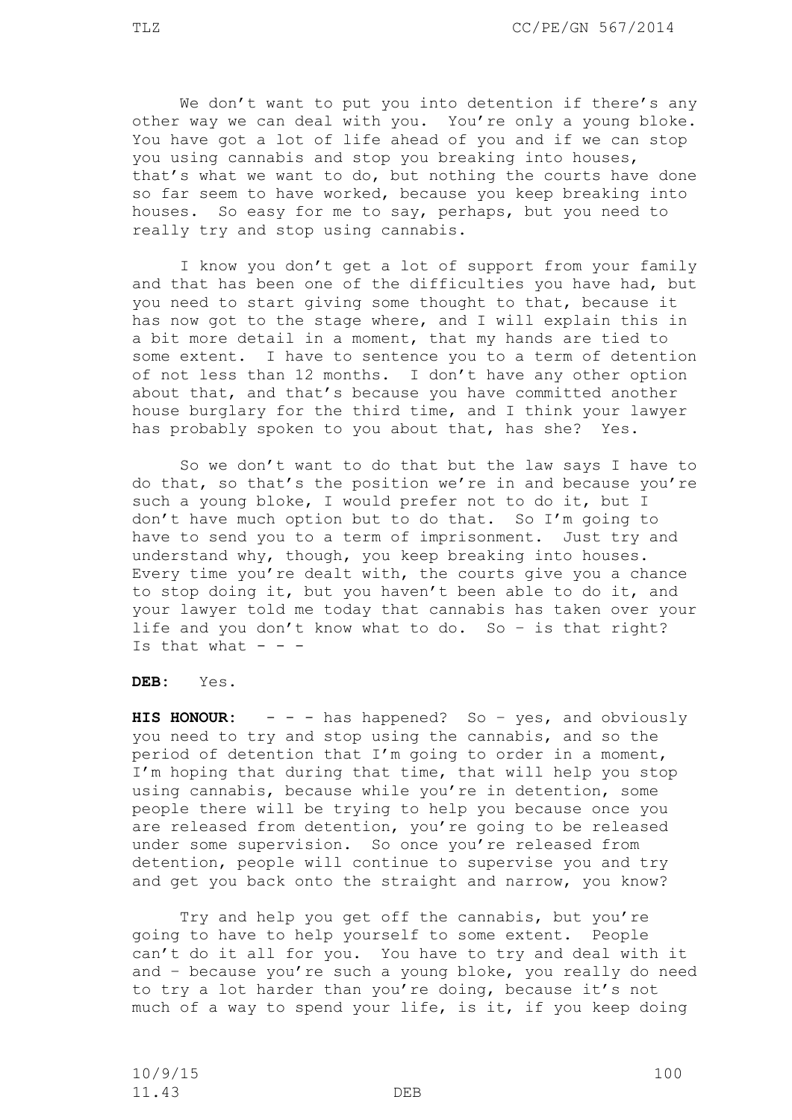We don't want to put you into detention if there's any other way we can deal with you. You're only a young bloke. You have got a lot of life ahead of you and if we can stop you using cannabis and stop you breaking into houses, that's what we want to do, but nothing the courts have done so far seem to have worked, because you keep breaking into houses. So easy for me to say, perhaps, but you need to really try and stop using cannabis.

I know you don't get a lot of support from your family and that has been one of the difficulties you have had, but you need to start giving some thought to that, because it has now got to the stage where, and I will explain this in a bit more detail in a moment, that my hands are tied to some extent. I have to sentence you to a term of detention of not less than 12 months. I don't have any other option about that, and that's because you have committed another house burglary for the third time, and I think your lawyer has probably spoken to you about that, has she? Yes.

So we don't want to do that but the law says I have to do that, so that's the position we're in and because you're such a young bloke, I would prefer not to do it, but I don't have much option but to do that. So I'm going to have to send you to a term of imprisonment. Just try and understand why, though, you keep breaking into houses. Every time you're dealt with, the courts give you a chance to stop doing it, but you haven't been able to do it, and your lawyer told me today that cannabis has taken over your life and you don't know what to do. So – is that right? Is that what  $- -$ 

**DEB:** Yes.

**HIS HONOUR:** - - - has happened? So – yes, and obviously you need to try and stop using the cannabis, and so the period of detention that I'm going to order in a moment, I'm hoping that during that time, that will help you stop using cannabis, because while you're in detention, some people there will be trying to help you because once you are released from detention, you're going to be released under some supervision. So once you're released from detention, people will continue to supervise you and try and get you back onto the straight and narrow, you know?

Try and help you get off the cannabis, but you're going to have to help yourself to some extent. People can't do it all for you. You have to try and deal with it and – because you're such a young bloke, you really do need to try a lot harder than you're doing, because it's not much of a way to spend your life, is it, if you keep doing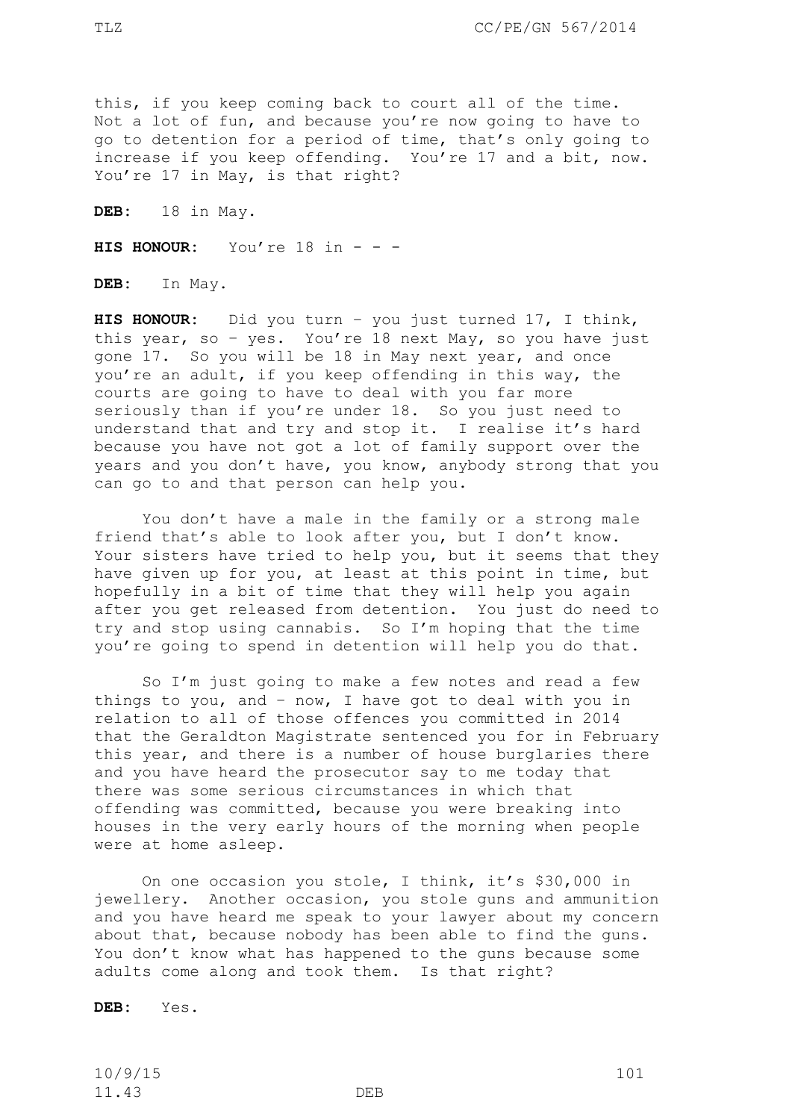this, if you keep coming back to court all of the time. Not a lot of fun, and because you're now going to have to go to detention for a period of time, that's only going to increase if you keep offending. You're 17 and a bit, now. You're 17 in May, is that right?

**DEB:** 18 in May.

**HIS HONOUR:** You're  $18$  in  $-$ 

**DEB:** In May.

**HIS HONOUR:** Did you turn – you just turned 17, I think, this year, so – yes. You're 18 next May, so you have just gone 17. So you will be 18 in May next year, and once you're an adult, if you keep offending in this way, the courts are going to have to deal with you far more seriously than if you're under 18. So you just need to understand that and try and stop it. I realise it's hard because you have not got a lot of family support over the years and you don't have, you know, anybody strong that you can go to and that person can help you.

You don't have a male in the family or a strong male friend that's able to look after you, but I don't know. Your sisters have tried to help you, but it seems that they have given up for you, at least at this point in time, but hopefully in a bit of time that they will help you again after you get released from detention. You just do need to try and stop using cannabis. So I'm hoping that the time you're going to spend in detention will help you do that.

So I'm just going to make a few notes and read a few things to you, and – now, I have got to deal with you in relation to all of those offences you committed in 2014 that the Geraldton Magistrate sentenced you for in February this year, and there is a number of house burglaries there and you have heard the prosecutor say to me today that there was some serious circumstances in which that offending was committed, because you were breaking into houses in the very early hours of the morning when people were at home asleep.

On one occasion you stole, I think, it's \$30,000 in jewellery. Another occasion, you stole guns and ammunition and you have heard me speak to your lawyer about my concern about that, because nobody has been able to find the guns. You don't know what has happened to the guns because some adults come along and took them. Is that right?

**DEB:** Yes.

10/9/15 101 11.43 DEB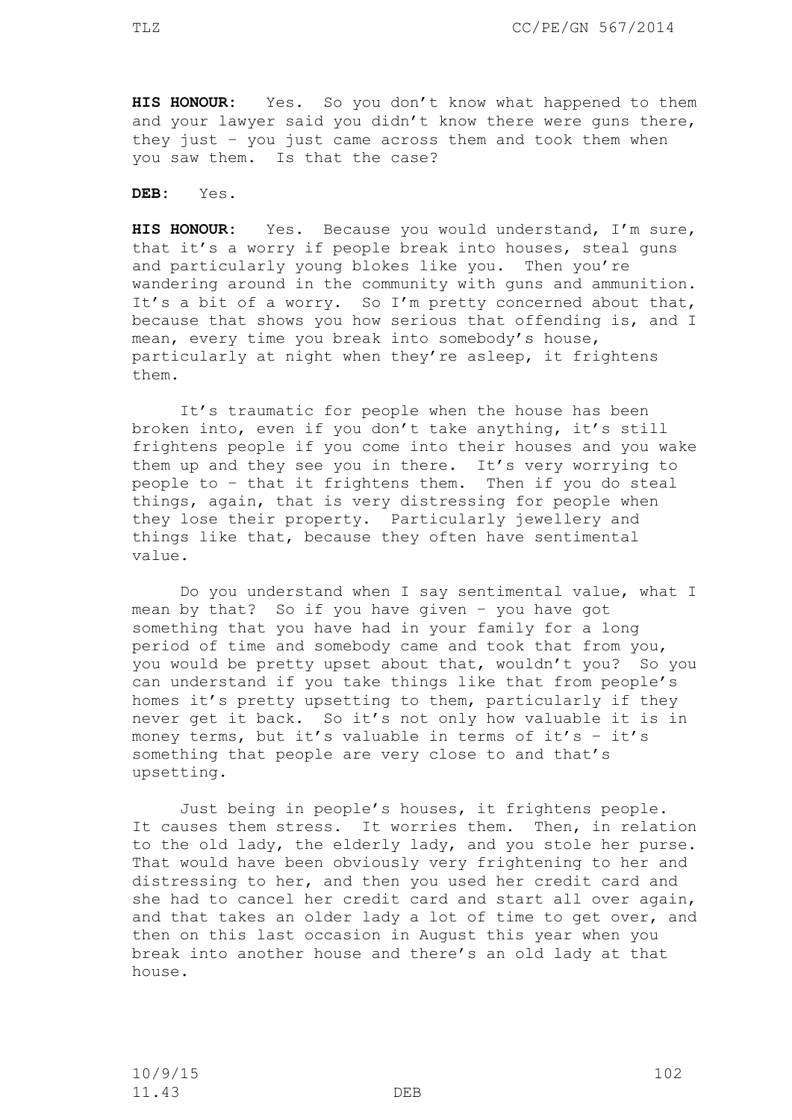**HIS HONOUR:** Yes. So you don't know what happened to them and your lawyer said you didn't know there were guns there, they just – you just came across them and took them when you saw them. Is that the case?

**DEB:** Yes.

**HIS HONOUR:** Yes. Because you would understand, I'm sure, that it's a worry if people break into houses, steal guns and particularly young blokes like you. Then you're wandering around in the community with guns and ammunition. It's a bit of a worry. So I'm pretty concerned about that, because that shows you how serious that offending is, and I mean, every time you break into somebody's house, particularly at night when they're asleep, it frightens them.

It's traumatic for people when the house has been broken into, even if you don't take anything, it's still frightens people if you come into their houses and you wake them up and they see you in there. It's very worrying to people to – that it frightens them. Then if you do steal things, again, that is very distressing for people when they lose their property. Particularly jewellery and things like that, because they often have sentimental value.

Do you understand when I say sentimental value, what I mean by that? So if you have given – you have got something that you have had in your family for a long period of time and somebody came and took that from you, you would be pretty upset about that, wouldn't you? So you can understand if you take things like that from people's homes it's pretty upsetting to them, particularly if they never get it back. So it's not only how valuable it is in money terms, but it's valuable in terms of it's - it's something that people are very close to and that's upsetting.

Just being in people's houses, it frightens people. It causes them stress. It worries them. Then, in relation to the old lady, the elderly lady, and you stole her purse. That would have been obviously very frightening to her and distressing to her, and then you used her credit card and she had to cancel her credit card and start all over again, and that takes an older lady a lot of time to get over, and then on this last occasion in August this year when you break into another house and there's an old lady at that house.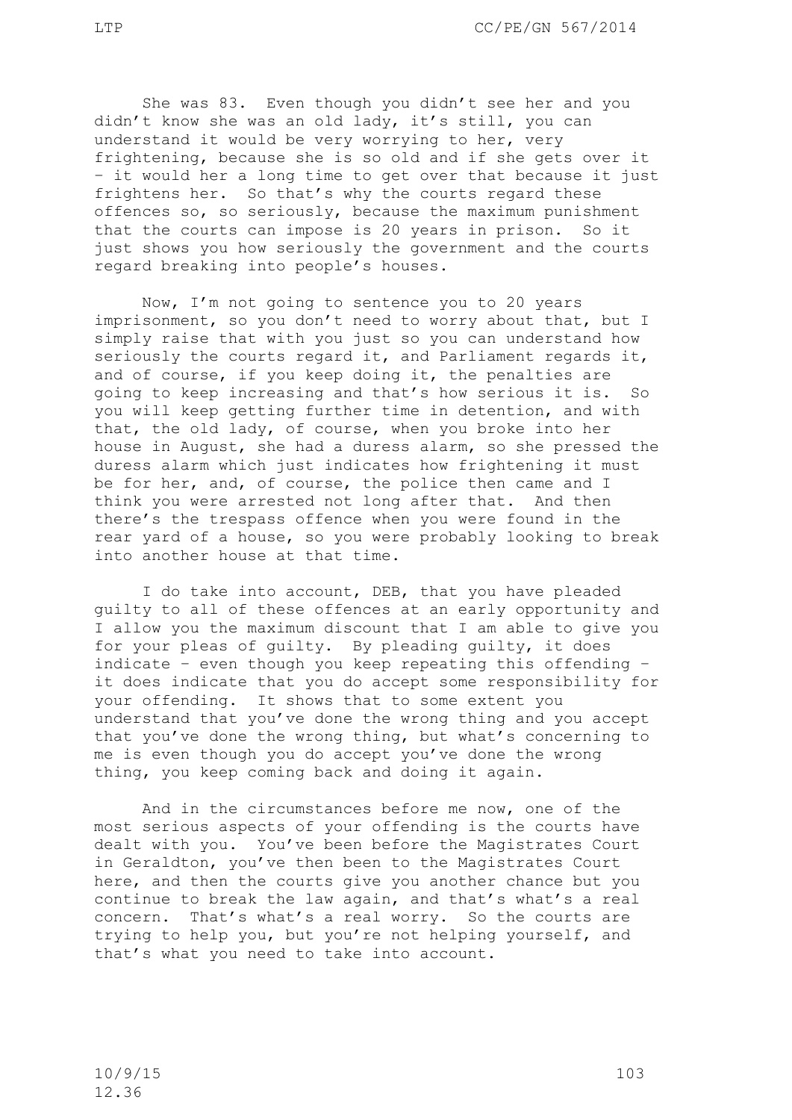She was 83. Even though you didn't see her and you didn't know she was an old lady, it's still, you can understand it would be very worrying to her, very frightening, because she is so old and if she gets over it – it would her a long time to get over that because it just frightens her. So that's why the courts regard these offences so, so seriously, because the maximum punishment that the courts can impose is 20 years in prison. So it just shows you how seriously the government and the courts regard breaking into people's houses.

Now, I'm not going to sentence you to 20 years imprisonment, so you don't need to worry about that, but I simply raise that with you just so you can understand how seriously the courts regard it, and Parliament regards it, and of course, if you keep doing it, the penalties are going to keep increasing and that's how serious it is. So you will keep getting further time in detention, and with that, the old lady, of course, when you broke into her house in August, she had a duress alarm, so she pressed the duress alarm which just indicates how frightening it must be for her, and, of course, the police then came and I think you were arrested not long after that. And then there's the trespass offence when you were found in the rear yard of a house, so you were probably looking to break into another house at that time.

I do take into account, DEB, that you have pleaded guilty to all of these offences at an early opportunity and I allow you the maximum discount that I am able to give you for your pleas of guilty. By pleading guilty, it does indicate – even though you keep repeating this offending – it does indicate that you do accept some responsibility for your offending. It shows that to some extent you understand that you've done the wrong thing and you accept that you've done the wrong thing, but what's concerning to me is even though you do accept you've done the wrong thing, you keep coming back and doing it again.

And in the circumstances before me now, one of the most serious aspects of your offending is the courts have dealt with you. You've been before the Magistrates Court in Geraldton, you've then been to the Magistrates Court here, and then the courts give you another chance but you continue to break the law again, and that's what's a real concern. That's what's a real worry. So the courts are trying to help you, but you're not helping yourself, and that's what you need to take into account.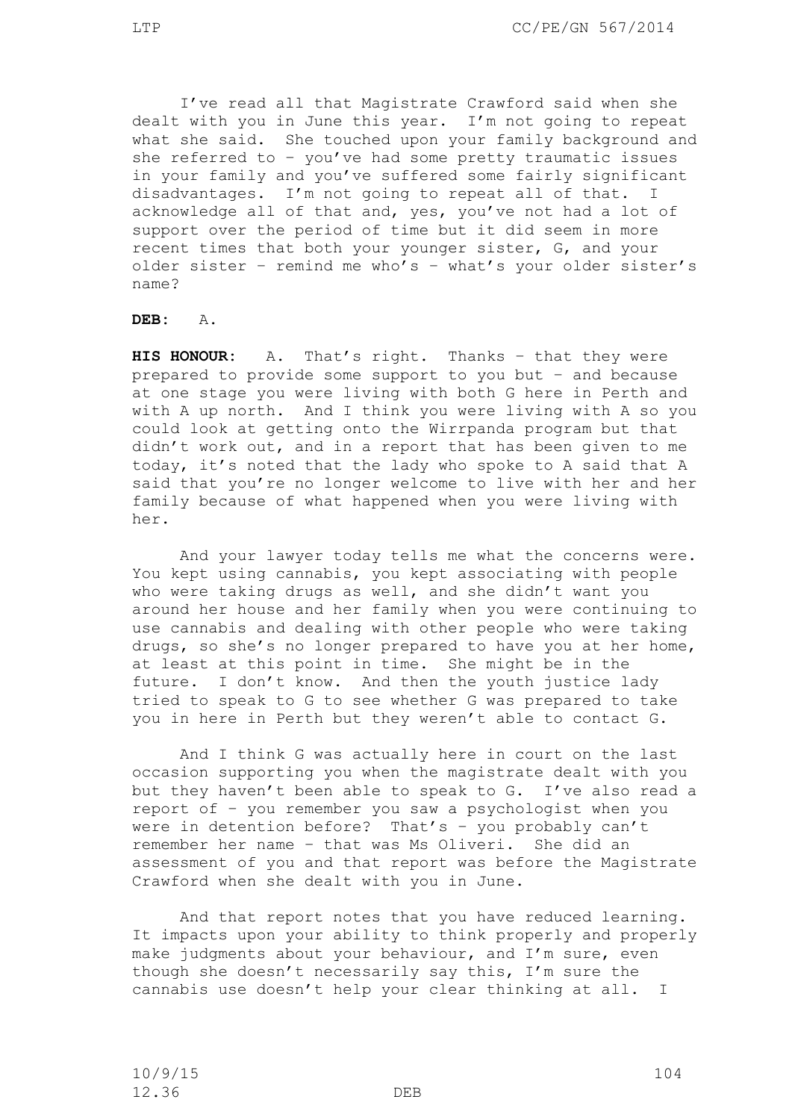I've read all that Magistrate Crawford said when she dealt with you in June this year. I'm not going to repeat what she said. She touched upon your family background and she referred to – you've had some pretty traumatic issues in your family and you've suffered some fairly significant disadvantages. I'm not going to repeat all of that. acknowledge all of that and, yes, you've not had a lot of support over the period of time but it did seem in more recent times that both your younger sister, G, and your older sister – remind me who's – what's your older sister's name?

## **DEB:** A.

**HIS HONOUR:** A. That's right. Thanks – that they were prepared to provide some support to you but – and because at one stage you were living with both G here in Perth and with A up north. And I think you were living with A so you could look at getting onto the Wirrpanda program but that didn't work out, and in a report that has been given to me today, it's noted that the lady who spoke to A said that A said that you're no longer welcome to live with her and her family because of what happened when you were living with her.

And your lawyer today tells me what the concerns were. You kept using cannabis, you kept associating with people who were taking drugs as well, and she didn't want you around her house and her family when you were continuing to use cannabis and dealing with other people who were taking drugs, so she's no longer prepared to have you at her home, at least at this point in time. She might be in the future. I don't know. And then the youth justice lady tried to speak to G to see whether G was prepared to take you in here in Perth but they weren't able to contact G.

And I think G was actually here in court on the last occasion supporting you when the magistrate dealt with you but they haven't been able to speak to G. I've also read a report of – you remember you saw a psychologist when you were in detention before? That's – you probably can't remember her name – that was Ms Oliveri. She did an assessment of you and that report was before the Magistrate Crawford when she dealt with you in June.

And that report notes that you have reduced learning. It impacts upon your ability to think properly and properly make judgments about your behaviour, and I'm sure, even though she doesn't necessarily say this, I'm sure the cannabis use doesn't help your clear thinking at all. I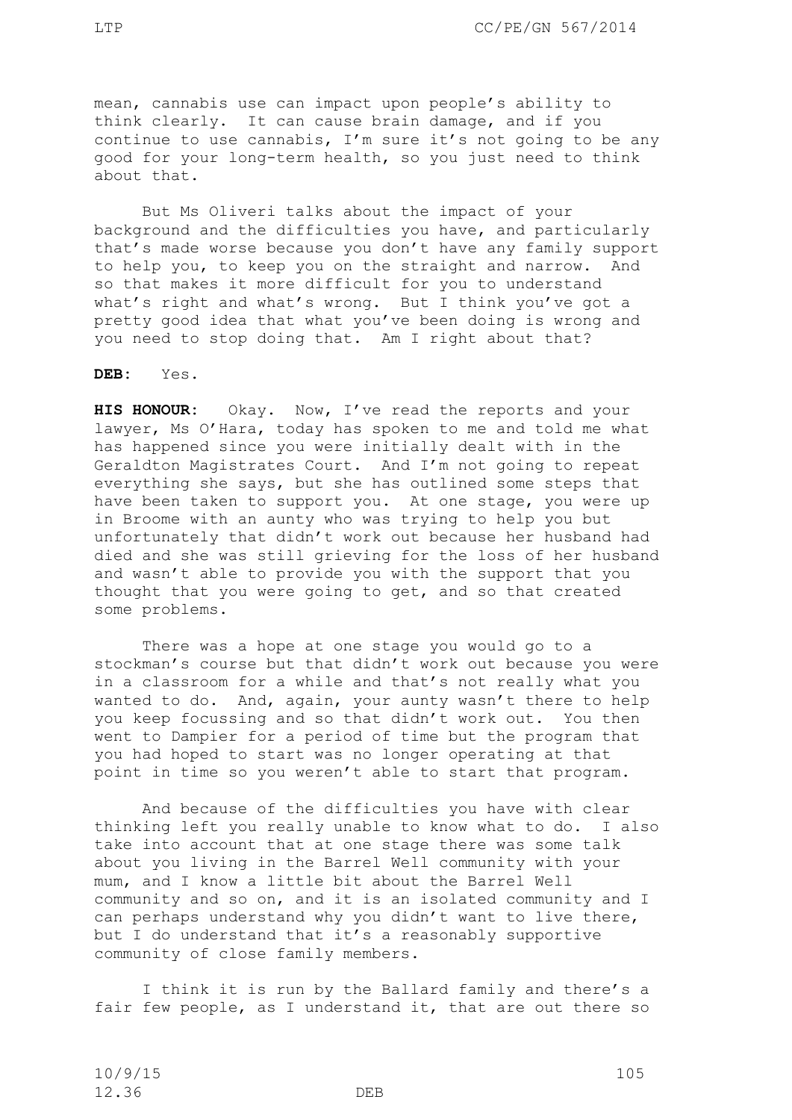mean, cannabis use can impact upon people's ability to think clearly. It can cause brain damage, and if you continue to use cannabis, I'm sure it's not going to be any good for your long-term health, so you just need to think about that.

But Ms Oliveri talks about the impact of your background and the difficulties you have, and particularly that's made worse because you don't have any family support to help you, to keep you on the straight and narrow. And so that makes it more difficult for you to understand what's right and what's wrong. But I think you've got a pretty good idea that what you've been doing is wrong and you need to stop doing that. Am I right about that?

### **DEB:** Yes.

**HIS HONOUR:** Okay. Now, I've read the reports and your lawyer, Ms O'Hara, today has spoken to me and told me what has happened since you were initially dealt with in the Geraldton Magistrates Court. And I'm not going to repeat everything she says, but she has outlined some steps that have been taken to support you. At one stage, you were up in Broome with an aunty who was trying to help you but unfortunately that didn't work out because her husband had died and she was still grieving for the loss of her husband and wasn't able to provide you with the support that you thought that you were going to get, and so that created some problems.

There was a hope at one stage you would go to a stockman's course but that didn't work out because you were in a classroom for a while and that's not really what you wanted to do. And, again, your aunty wasn't there to help you keep focussing and so that didn't work out. You then went to Dampier for a period of time but the program that you had hoped to start was no longer operating at that point in time so you weren't able to start that program.

And because of the difficulties you have with clear thinking left you really unable to know what to do. I also take into account that at one stage there was some talk about you living in the Barrel Well community with your mum, and I know a little bit about the Barrel Well community and so on, and it is an isolated community and I can perhaps understand why you didn't want to live there, but I do understand that it's a reasonably supportive community of close family members.

I think it is run by the Ballard family and there's a fair few people, as I understand it, that are out there so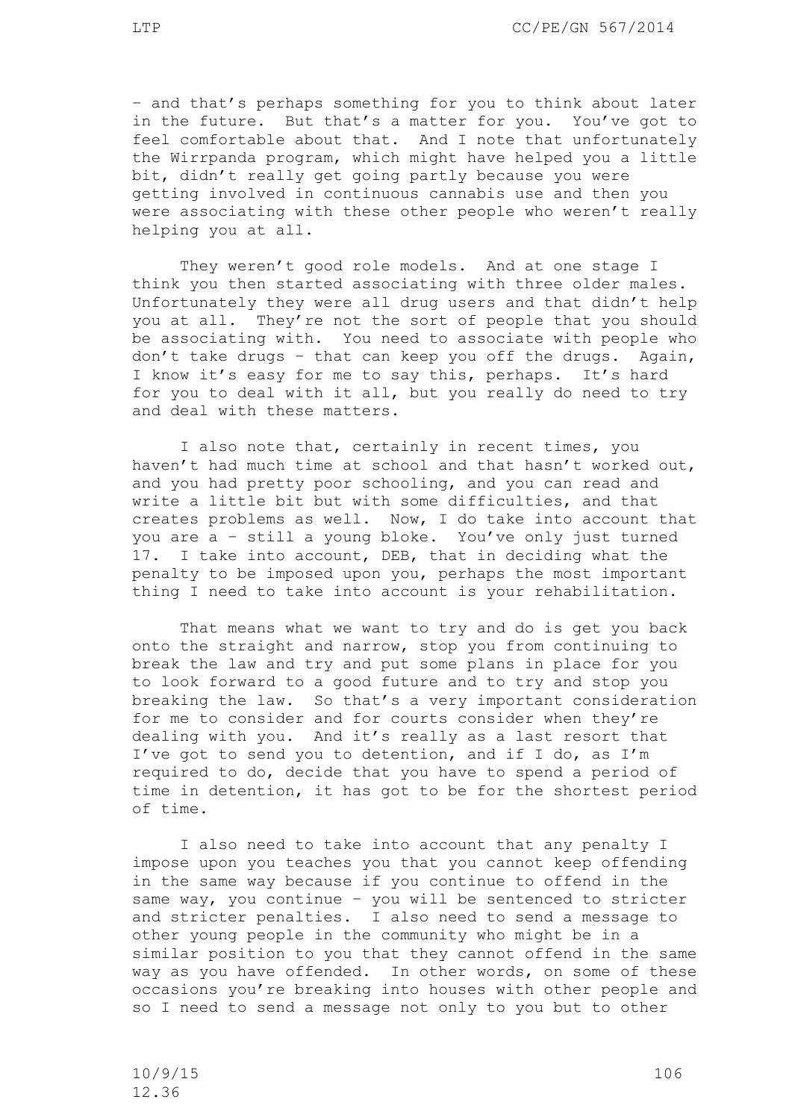– and that's perhaps something for you to think about later in the future. But that's a matter for you. You've got to feel comfortable about that. And I note that unfortunately the Wirrpanda program, which might have helped you a little bit, didn't really get going partly because you were getting involved in continuous cannabis use and then you were associating with these other people who weren't really helping you at all.

They weren't good role models. And at one stage I think you then started associating with three older males. Unfortunately they were all drug users and that didn't help you at all. They're not the sort of people that you should be associating with. You need to associate with people who don't take drugs – that can keep you off the drugs. Again, I know it's easy for me to say this, perhaps. It's hard for you to deal with it all, but you really do need to try and deal with these matters.

I also note that, certainly in recent times, you haven't had much time at school and that hasn't worked out, and you had pretty poor schooling, and you can read and write a little bit but with some difficulties, and that creates problems as well. Now, I do take into account that you are a – still a young bloke. You've only just turned 17. I take into account, DEB, that in deciding what the penalty to be imposed upon you, perhaps the most important thing I need to take into account is your rehabilitation.

That means what we want to try and do is get you back onto the straight and narrow, stop you from continuing to break the law and try and put some plans in place for you to look forward to a good future and to try and stop you breaking the law. So that's a very important consideration for me to consider and for courts consider when they're dealing with you. And it's really as a last resort that I've got to send you to detention, and if I do, as I'm required to do, decide that you have to spend a period of time in detention, it has got to be for the shortest period of time.

I also need to take into account that any penalty I impose upon you teaches you that you cannot keep offending in the same way because if you continue to offend in the same way, you continue – you will be sentenced to stricter and stricter penalties. I also need to send a message to other young people in the community who might be in a similar position to you that they cannot offend in the same way as you have offended. In other words, on some of these occasions you're breaking into houses with other people and so I need to send a message not only to you but to other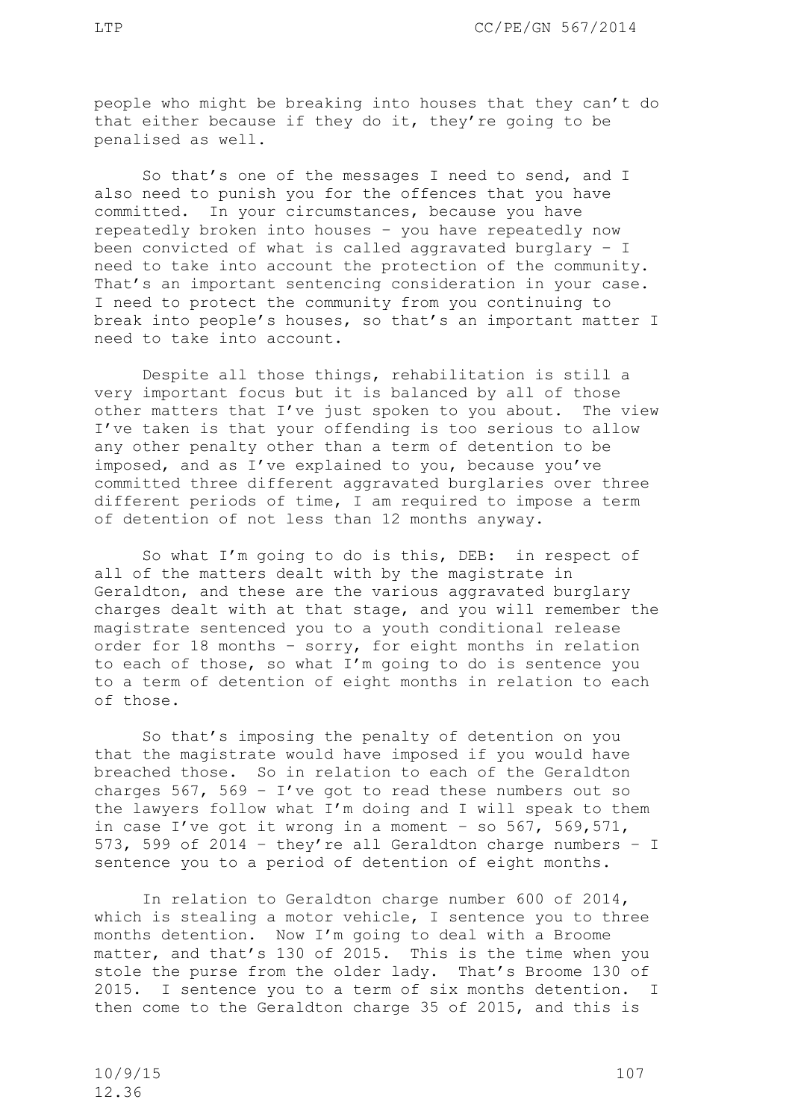people who might be breaking into houses that they can't do that either because if they do it, they're going to be penalised as well.

So that's one of the messages I need to send, and I also need to punish you for the offences that you have committed. In your circumstances, because you have repeatedly broken into houses – you have repeatedly now been convicted of what is called aggravated burglary – I need to take into account the protection of the community. That's an important sentencing consideration in your case. I need to protect the community from you continuing to break into people's houses, so that's an important matter I need to take into account.

Despite all those things, rehabilitation is still a very important focus but it is balanced by all of those other matters that I've just spoken to you about. The view I've taken is that your offending is too serious to allow any other penalty other than a term of detention to be imposed, and as I've explained to you, because you've committed three different aggravated burglaries over three different periods of time, I am required to impose a term of detention of not less than 12 months anyway.

So what I'm going to do is this, DEB: in respect of all of the matters dealt with by the magistrate in Geraldton, and these are the various aggravated burglary charges dealt with at that stage, and you will remember the magistrate sentenced you to a youth conditional release order for 18 months – sorry, for eight months in relation to each of those, so what I'm going to do is sentence you to a term of detention of eight months in relation to each of those.

So that's imposing the penalty of detention on you that the magistrate would have imposed if you would have breached those. So in relation to each of the Geraldton charges  $567$ ,  $569 - I'$ ve got to read these numbers out so the lawyers follow what I'm doing and I will speak to them in case I've got it wrong in a moment - so  $567$ ,  $569$ ,  $571$ , 573, 599 of 2014 – they're all Geraldton charge numbers – I sentence you to a period of detention of eight months.

In relation to Geraldton charge number 600 of 2014, which is stealing a motor vehicle, I sentence you to three months detention. Now I'm going to deal with a Broome matter, and that's 130 of 2015. This is the time when you stole the purse from the older lady. That's Broome 130 of 2015. I sentence you to a term of six months detention. I then come to the Geraldton charge 35 of 2015, and this is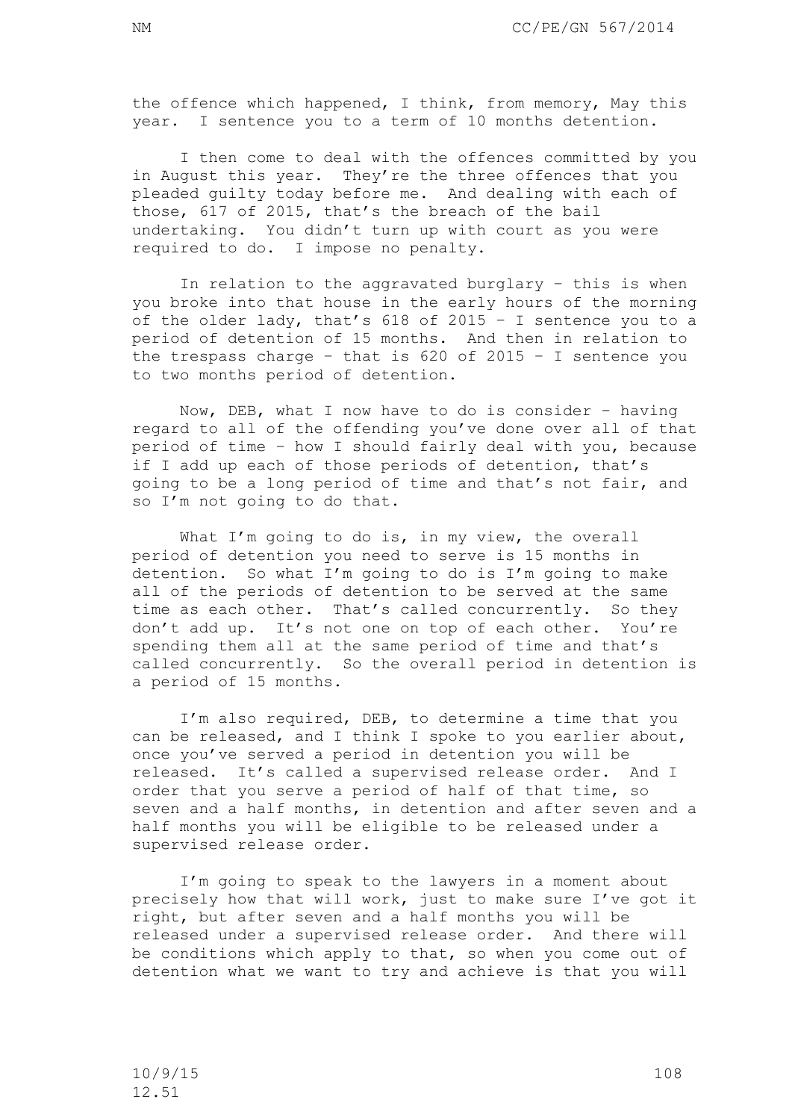the offence which happened, I think, from memory, May this year. I sentence you to a term of 10 months detention.

I then come to deal with the offences committed by you in August this year. They're the three offences that you pleaded guilty today before me. And dealing with each of those, 617 of 2015, that's the breach of the bail undertaking. You didn't turn up with court as you were required to do. I impose no penalty.

In relation to the aggravated burglary – this is when you broke into that house in the early hours of the morning of the older lady, that's 618 of 2015 – I sentence you to a period of detention of 15 months. And then in relation to the trespass charge - that is  $620$  of  $2015 - I$  sentence you to two months period of detention.

Now, DEB, what I now have to do is consider – having regard to all of the offending you've done over all of that period of time – how I should fairly deal with you, because if I add up each of those periods of detention, that's going to be a long period of time and that's not fair, and so I'm not going to do that.

What I'm going to do is, in my view, the overall period of detention you need to serve is 15 months in detention. So what I'm going to do is I'm going to make all of the periods of detention to be served at the same time as each other. That's called concurrently. So they don't add up. It's not one on top of each other. You're spending them all at the same period of time and that's called concurrently. So the overall period in detention is a period of 15 months.

I'm also required, DEB, to determine a time that you can be released, and I think I spoke to you earlier about, once you've served a period in detention you will be released. It's called a supervised release order. And I order that you serve a period of half of that time, so seven and a half months, in detention and after seven and a half months you will be eligible to be released under a supervised release order.

I'm going to speak to the lawyers in a moment about precisely how that will work, just to make sure I've got it right, but after seven and a half months you will be released under a supervised release order. And there will be conditions which apply to that, so when you come out of detention what we want to try and achieve is that you will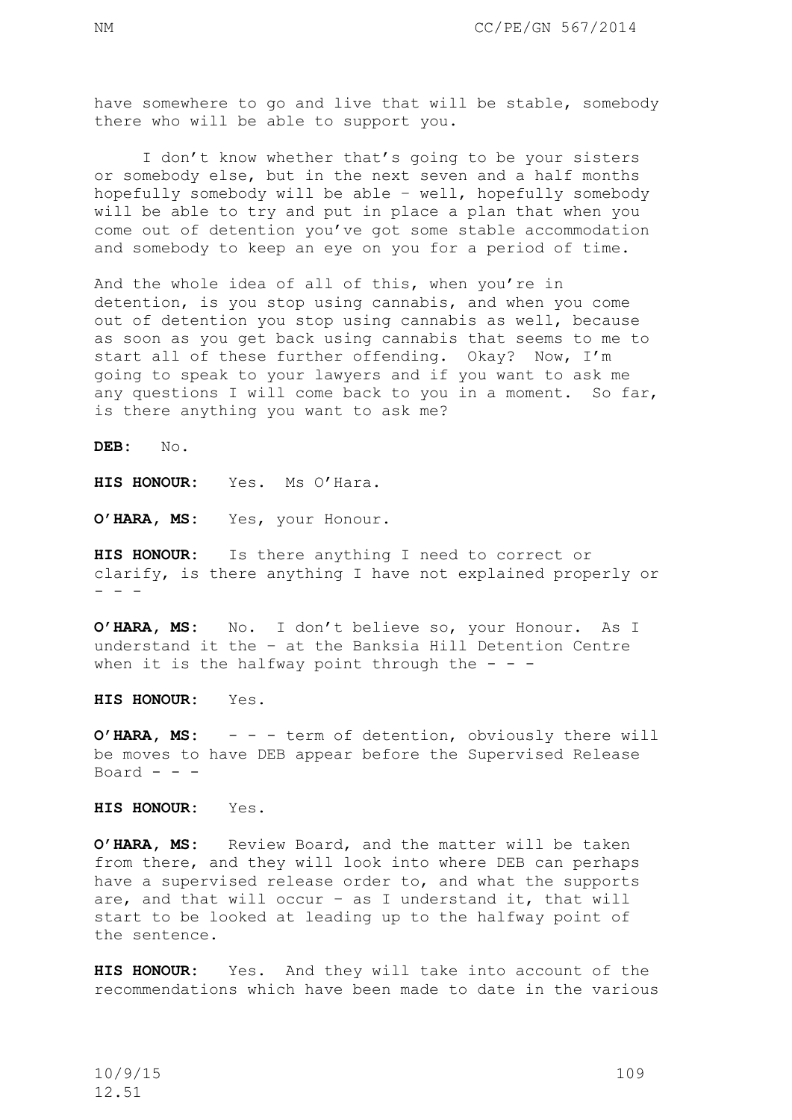have somewhere to go and live that will be stable, somebody there who will be able to support you.

I don't know whether that's going to be your sisters or somebody else, but in the next seven and a half months hopefully somebody will be able – well, hopefully somebody will be able to try and put in place a plan that when you come out of detention you've got some stable accommodation and somebody to keep an eye on you for a period of time.

And the whole idea of all of this, when you're in detention, is you stop using cannabis, and when you come out of detention you stop using cannabis as well, because as soon as you get back using cannabis that seems to me to start all of these further offending. Okay? Now, I'm going to speak to your lawyers and if you want to ask me any questions I will come back to you in a moment. So far, is there anything you want to ask me?

**DEB:** No.

**HIS HONOUR:** Yes. Ms O'Hara.

**O'HARA, MS:** Yes, your Honour.

**HIS HONOUR:** Is there anything I need to correct or clarify, is there anything I have not explained properly or - - -

**O'HARA, MS:** No. I don't believe so, your Honour. As I understand it the – at the Banksia Hill Detention Centre when it is the halfway point through the  $-$  -

**HIS HONOUR:** Yes.

**O'HARA, MS:** - - - term of detention, obviously there will be moves to have DEB appear before the Supervised Release Board  $-$ 

**HIS HONOUR:** Yes.

**O'HARA, MS:** Review Board, and the matter will be taken from there, and they will look into where DEB can perhaps have a supervised release order to, and what the supports are, and that will occur – as I understand it, that will start to be looked at leading up to the halfway point of the sentence.

**HIS HONOUR:** Yes. And they will take into account of the recommendations which have been made to date in the various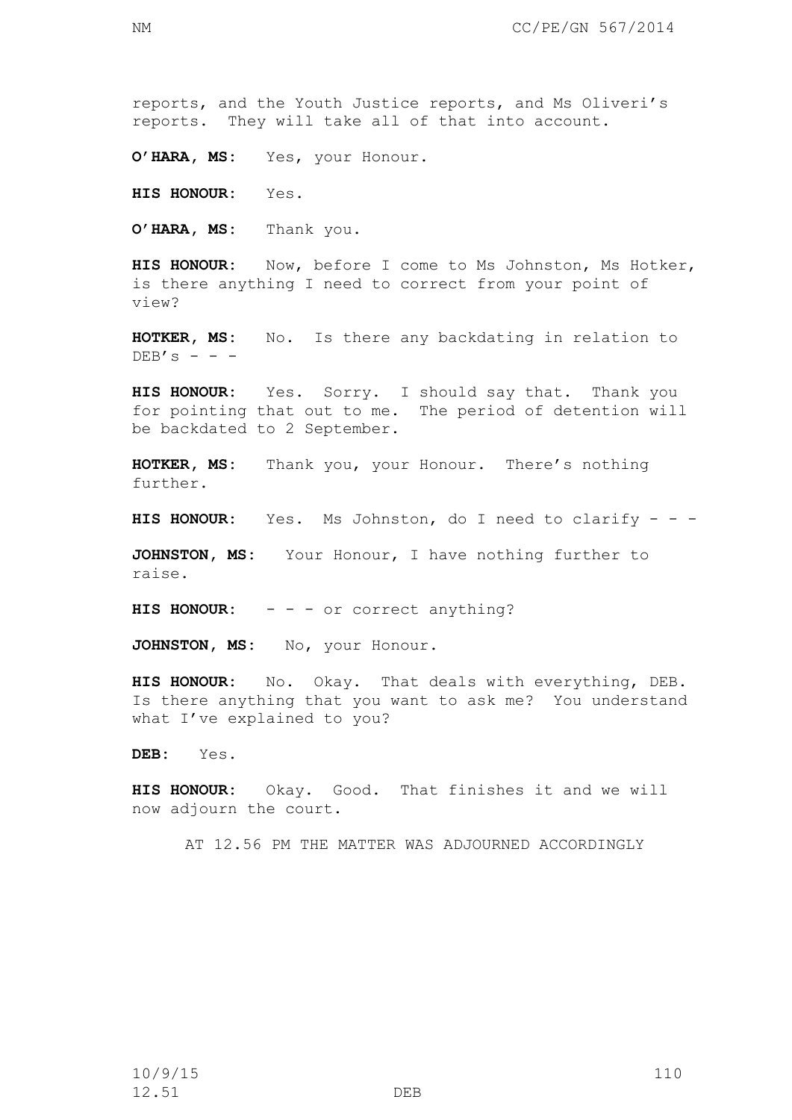reports, and the Youth Justice reports, and Ms Oliveri's reports. They will take all of that into account.

**O'HARA, MS:** Yes, your Honour.

**HIS HONOUR:** Yes.

**O'HARA, MS:** Thank you.

**HIS HONOUR:** Now, before I come to Ms Johnston, Ms Hotker, is there anything I need to correct from your point of view?

**HOTKER, MS:** No. Is there any backdating in relation to  $DEB'S - - -$ 

**HIS HONOUR:** Yes. Sorry. I should say that. Thank you for pointing that out to me. The period of detention will be backdated to 2 September.

**HOTKER, MS:** Thank you, your Honour. There's nothing further.

**HIS HONOUR:** Yes. Ms Johnston, do I need to clarify - - -

**JOHNSTON, MS:** Your Honour, I have nothing further to raise.

HIS HONOUR: - - - or correct anything?

JOHNSTON, MS: No, your Honour.

**HIS HONOUR:** No. Okay. That deals with everything, DEB. Is there anything that you want to ask me? You understand what I've explained to you?

**DEB:** Yes.

**HIS HONOUR:** Okay. Good. That finishes it and we will now adjourn the court.

AT 12.56 PM THE MATTER WAS ADJOURNED ACCORDINGLY